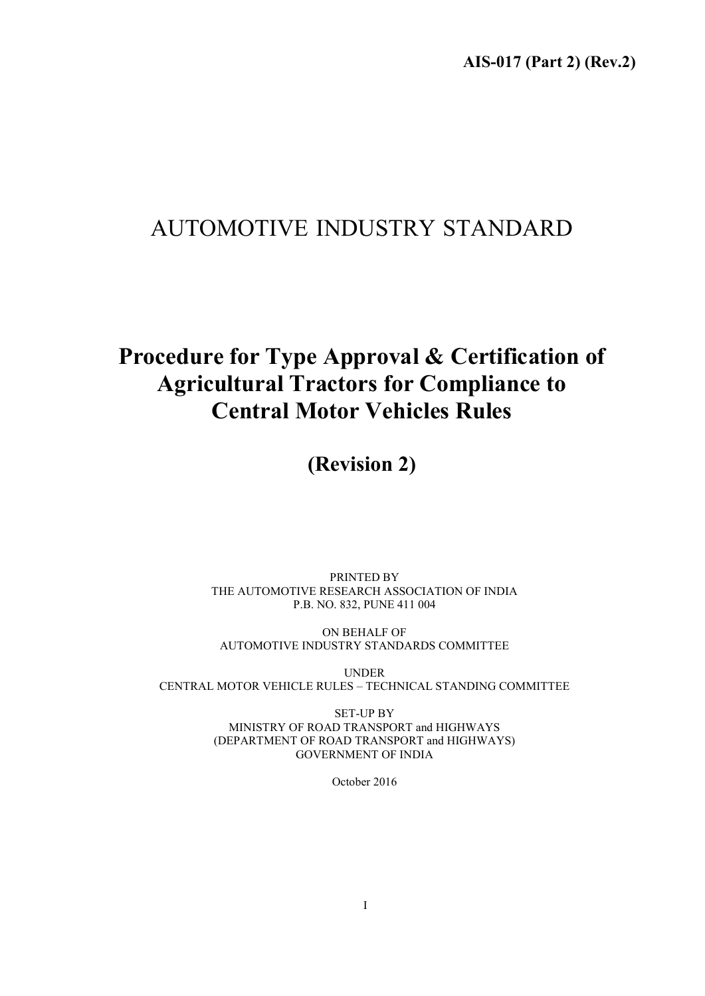# AUTOMOTIVE INDUSTRY STANDARD

# Procedure for Type Approval & Certification of Agricultural Tractors for Compliance to Central Motor Vehicles Rules

(Revision 2)

PRINTED BY THE AUTOMOTIVE RESEARCH ASSOCIATION OF INDIA P.B. NO. 832, PUNE 411 004

ON BEHALF OF AUTOMOTIVE INDUSTRY STANDARDS COMMITTEE

UNDER CENTRAL MOTOR VEHICLE RULES – TECHNICAL STANDING COMMITTEE

> SET-UP BY MINISTRY OF ROAD TRANSPORT and HIGHWAYS (DEPARTMENT OF ROAD TRANSPORT and HIGHWAYS) GOVERNMENT OF INDIA

> > October 2016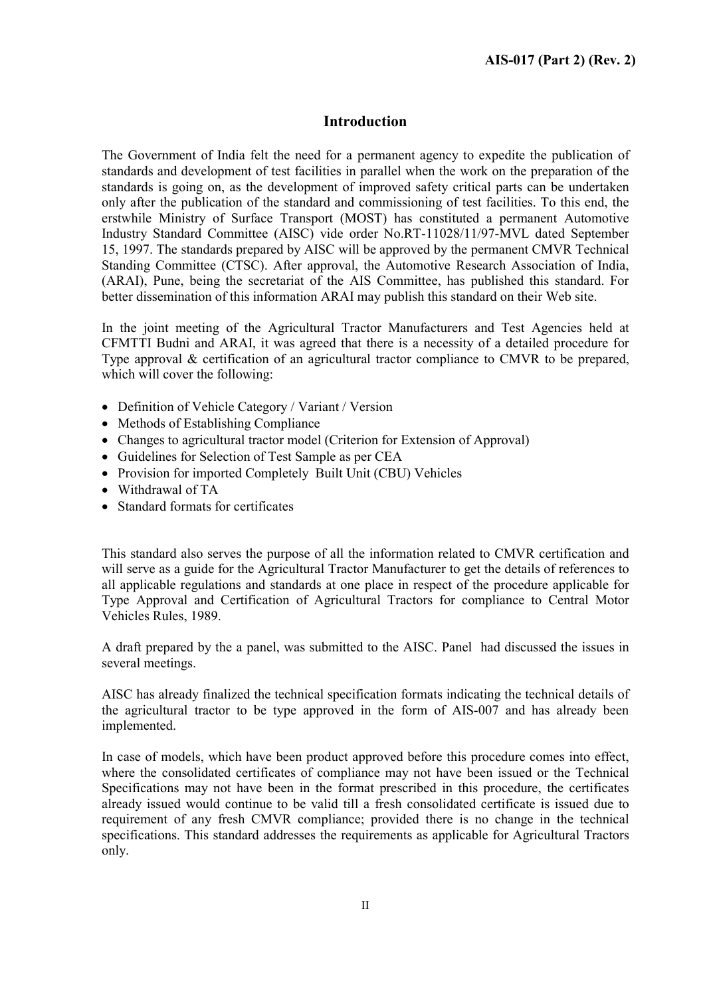# Introduction

The Government of India felt the need for a permanent agency to expedite the publication of standards and development of test facilities in parallel when the work on the preparation of the standards is going on, as the development of improved safety critical parts can be undertaken only after the publication of the standard and commissioning of test facilities. To this end, the erstwhile Ministry of Surface Transport (MOST) has constituted a permanent Automotive Industry Standard Committee (AISC) vide order No.RT-11028/11/97-MVL dated September 15, 1997. The standards prepared by AISC will be approved by the permanent CMVR Technical Standing Committee (CTSC). After approval, the Automotive Research Association of India, (ARAI), Pune, being the secretariat of the AIS Committee, has published this standard. For better dissemination of this information ARAI may publish this standard on their Web site.

In the joint meeting of the Agricultural Tractor Manufacturers and Test Agencies held at CFMTTI Budni and ARAI, it was agreed that there is a necessity of a detailed procedure for Type approval & certification of an agricultural tractor compliance to CMVR to be prepared, which will cover the following:

- Definition of Vehicle Category / Variant / Version
- Methods of Establishing Compliance
- Changes to agricultural tractor model (Criterion for Extension of Approval)
- Guidelines for Selection of Test Sample as per CEA
- Provision for imported Completely Built Unit (CBU) Vehicles
- Withdrawal of TA
- Standard formats for certificates

This standard also serves the purpose of all the information related to CMVR certification and will serve as a guide for the Agricultural Tractor Manufacturer to get the details of references to all applicable regulations and standards at one place in respect of the procedure applicable for Type Approval and Certification of Agricultural Tractors for compliance to Central Motor Vehicles Rules, 1989.

A draft prepared by the a panel, was submitted to the AISC. Panel had discussed the issues in several meetings.

AISC has already finalized the technical specification formats indicating the technical details of the agricultural tractor to be type approved in the form of AIS-007 and has already been implemented.

In case of models, which have been product approved before this procedure comes into effect, where the consolidated certificates of compliance may not have been issued or the Technical Specifications may not have been in the format prescribed in this procedure, the certificates already issued would continue to be valid till a fresh consolidated certificate is issued due to requirement of any fresh CMVR compliance; provided there is no change in the technical specifications. This standard addresses the requirements as applicable for Agricultural Tractors only.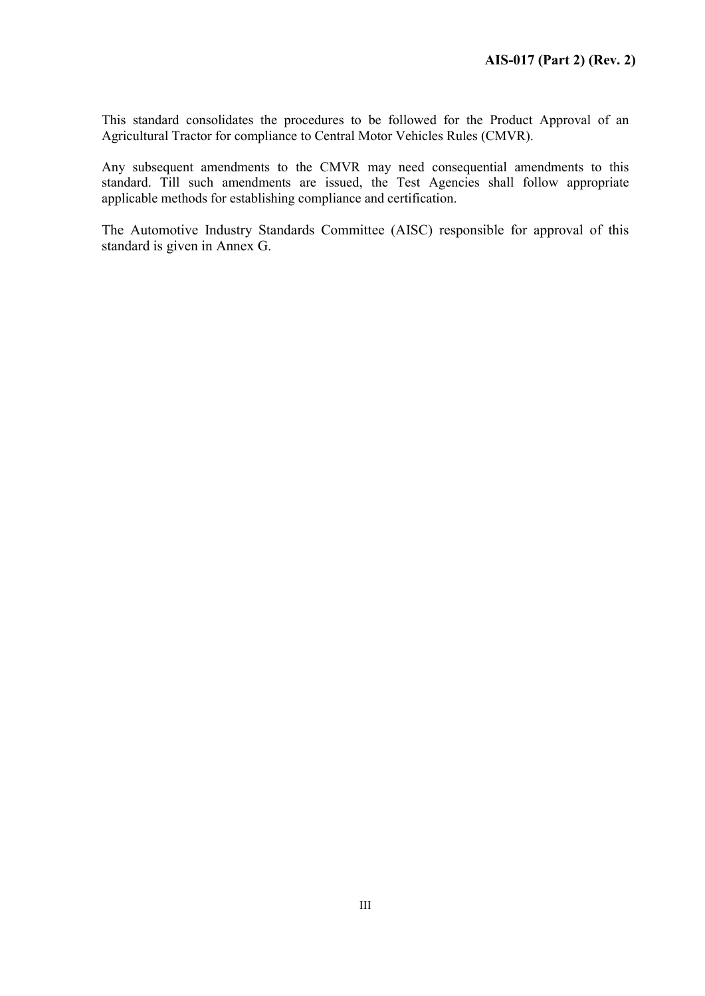This standard consolidates the procedures to be followed for the Product Approval of an Agricultural Tractor for compliance to Central Motor Vehicles Rules (CMVR).

Any subsequent amendments to the CMVR may need consequential amendments to this standard. Till such amendments are issued, the Test Agencies shall follow appropriate applicable methods for establishing compliance and certification.

The Automotive Industry Standards Committee (AISC) responsible for approval of this standard is given in Annex G.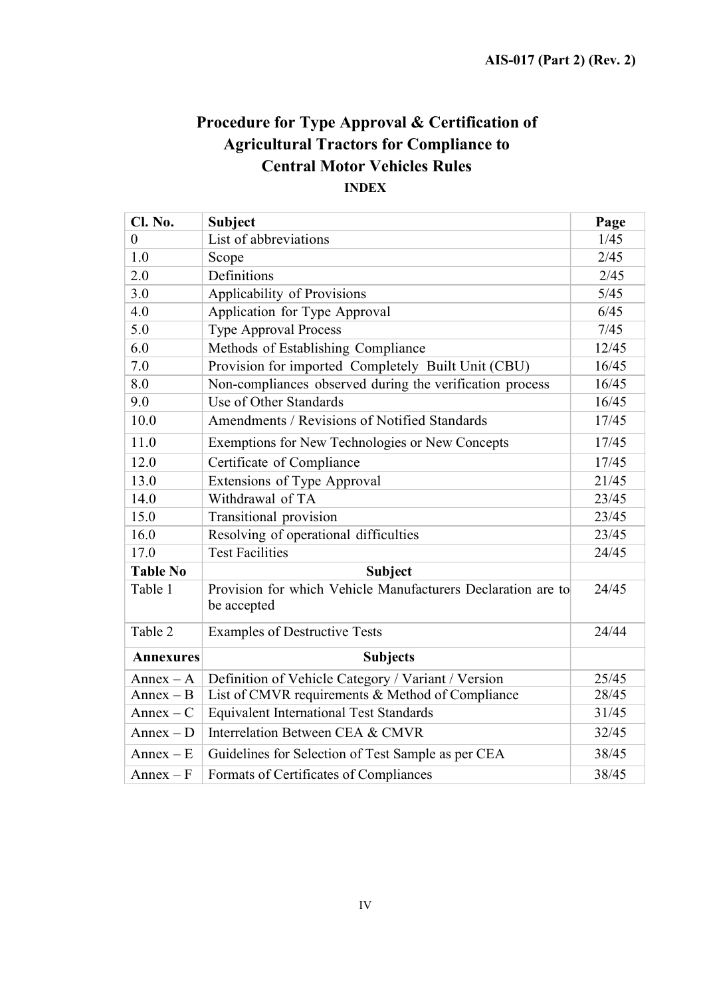# Procedure for Type Approval & Certification of Agricultural Tractors for Compliance to Central Motor Vehicles Rules

# INDEX

| Cl. No.          | <b>Subject</b>                                                              | Page  |  |  |  |  |  |
|------------------|-----------------------------------------------------------------------------|-------|--|--|--|--|--|
| $\overline{0}$   | List of abbreviations                                                       | 1/45  |  |  |  |  |  |
| 1.0              | Scope                                                                       |       |  |  |  |  |  |
| 2.0              | Definitions                                                                 |       |  |  |  |  |  |
| 3.0              | Applicability of Provisions                                                 | 5/45  |  |  |  |  |  |
| 4.0              | Application for Type Approval                                               | 6/45  |  |  |  |  |  |
| 5.0              | <b>Type Approval Process</b>                                                | 7/45  |  |  |  |  |  |
| 6.0              | Methods of Establishing Compliance                                          | 12/45 |  |  |  |  |  |
| 7.0              | Provision for imported Completely Built Unit (CBU)                          | 16/45 |  |  |  |  |  |
| 8.0              | Non-compliances observed during the verification process                    | 16/45 |  |  |  |  |  |
| 9.0              | Use of Other Standards                                                      | 16/45 |  |  |  |  |  |
| 10.0             | Amendments / Revisions of Notified Standards                                | 17/45 |  |  |  |  |  |
| 11.0             | Exemptions for New Technologies or New Concepts                             | 17/45 |  |  |  |  |  |
| 12.0             | Certificate of Compliance                                                   | 17/45 |  |  |  |  |  |
| 13.0             | Extensions of Type Approval                                                 | 21/45 |  |  |  |  |  |
| 14.0             | Withdrawal of TA                                                            | 23/45 |  |  |  |  |  |
| 15.0             | Transitional provision                                                      | 23/45 |  |  |  |  |  |
| 16.0             | Resolving of operational difficulties                                       | 23/45 |  |  |  |  |  |
| 17.0             | <b>Test Facilities</b>                                                      | 24/45 |  |  |  |  |  |
| <b>Table No</b>  | <b>Subject</b>                                                              |       |  |  |  |  |  |
| Table 1          | Provision for which Vehicle Manufacturers Declaration are to<br>be accepted | 24/45 |  |  |  |  |  |
| Table 2          | <b>Examples of Destructive Tests</b>                                        | 24/44 |  |  |  |  |  |
| <b>Annexures</b> | <b>Subjects</b>                                                             |       |  |  |  |  |  |
| $Annex - A$      | Definition of Vehicle Category / Variant / Version                          | 25/45 |  |  |  |  |  |
| $Annex - B$      | List of CMVR requirements & Method of Compliance                            | 28/45 |  |  |  |  |  |
| $Annex - C$      | <b>Equivalent International Test Standards</b>                              | 31/45 |  |  |  |  |  |
| $Annex - D$      | Interrelation Between CEA & CMVR                                            | 32/45 |  |  |  |  |  |
| $Annex - E$      | Guidelines for Selection of Test Sample as per CEA                          | 38/45 |  |  |  |  |  |
| $Annex - F$      | Formats of Certificates of Compliances                                      | 38/45 |  |  |  |  |  |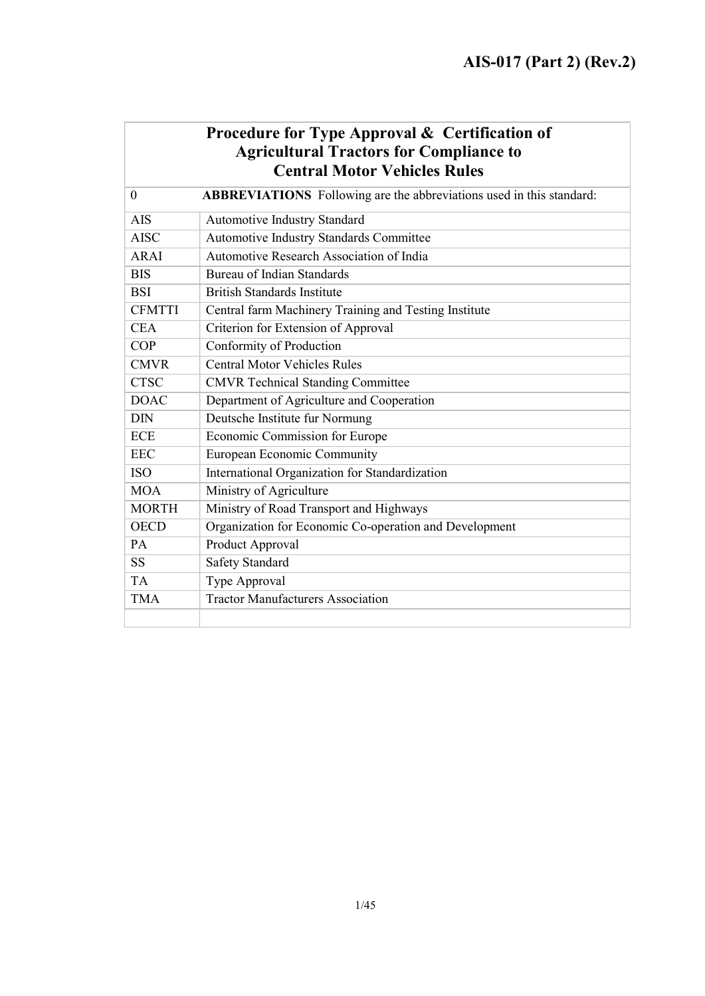| <b>Procedure for Type Approval &amp; Certification of</b> |
|-----------------------------------------------------------|
| <b>Agricultural Tractors for Compliance to</b>            |
| <b>Central Motor Vehicles Rules</b>                       |

| $\theta$      | <b>ABBREVIATIONS</b> Following are the abbreviations used in this standard: |
|---------------|-----------------------------------------------------------------------------|
| <b>AIS</b>    | Automotive Industry Standard                                                |
| <b>AISC</b>   | Automotive Industry Standards Committee                                     |
| ARAI          | Automotive Research Association of India                                    |
| <b>BIS</b>    | Bureau of Indian Standards                                                  |
| <b>BSI</b>    | <b>British Standards Institute</b>                                          |
| <b>CFMTTI</b> | Central farm Machinery Training and Testing Institute                       |
| <b>CEA</b>    | Criterion for Extension of Approval                                         |
| COP           | Conformity of Production                                                    |
| <b>CMVR</b>   | <b>Central Motor Vehicles Rules</b>                                         |
| <b>CTSC</b>   | <b>CMVR Technical Standing Committee</b>                                    |
| <b>DOAC</b>   | Department of Agriculture and Cooperation                                   |
| <b>DIN</b>    | Deutsche Institute fur Normung                                              |
| <b>ECE</b>    | Economic Commission for Europe                                              |
| <b>EEC</b>    | European Economic Community                                                 |
| <b>ISO</b>    | International Organization for Standardization                              |
| <b>MOA</b>    | Ministry of Agriculture                                                     |
| <b>MORTH</b>  | Ministry of Road Transport and Highways                                     |
| <b>OECD</b>   | Organization for Economic Co-operation and Development                      |
| PA            | Product Approval                                                            |
| <b>SS</b>     | Safety Standard                                                             |
| <b>TA</b>     | Type Approval                                                               |
| <b>TMA</b>    | <b>Tractor Manufacturers Association</b>                                    |
|               |                                                                             |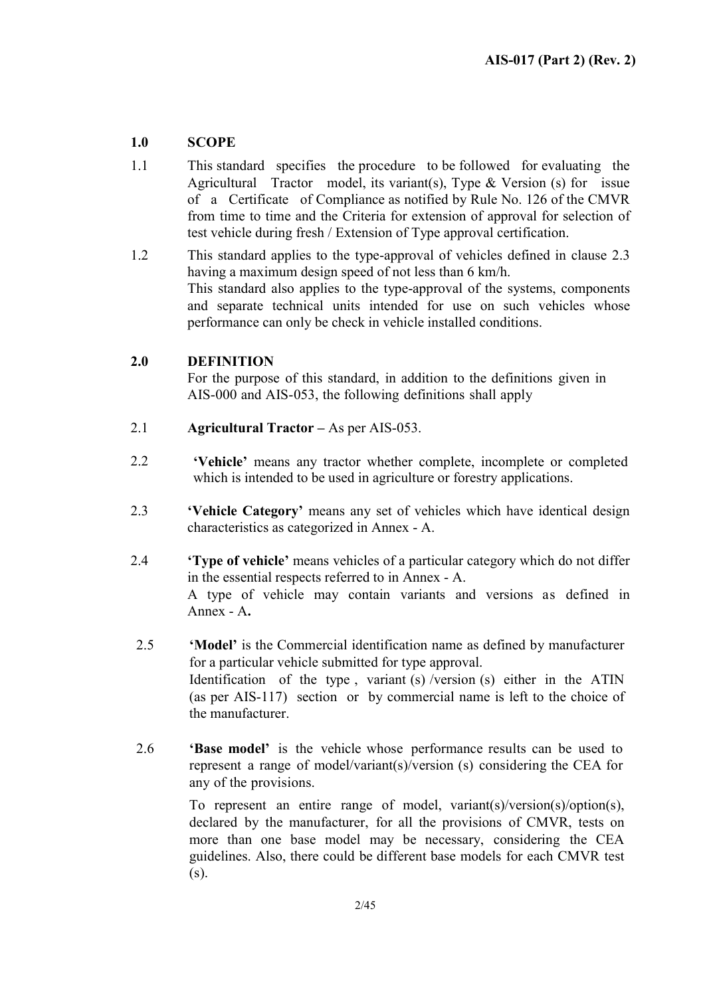# 1.0 SCOPE

- 1.1 This standard specifies the procedure to be followed for evaluating the Agricultural Tractor model, its variant(s), Type & Version (s) for issue of a Certificate of Compliance as notified by Rule No. 126 of the CMVR from time to time and the Criteria for extension of approval for selection of test vehicle during fresh / Extension of Type approval certification.
- 1.2 This standard applies to the type-approval of vehicles defined in clause 2.3 having a maximum design speed of not less than 6 km/h. This standard also applies to the type-approval of the systems, components and separate technical units intended for use on such vehicles whose performance can only be check in vehicle installed conditions.

# 2.0 DEFINITION

For the purpose of this standard, in addition to the definitions given in AIS-000 and AIS-053, the following definitions shall apply

- 2.1 Agricultural Tractor As per AIS-053.
- 2.2 'Vehicle' means any tractor whether complete, incomplete or completed which is intended to be used in agriculture or forestry applications.
- 2.3 'Vehicle Category' means any set of vehicles which have identical design characteristics as categorized in Annex - A.
- 2.4 'Type of vehicle' means vehicles of a particular category which do not differ in the essential respects referred to in Annex - A. A type of vehicle may contain variants and versions as defined in Annex - A.
- 2.5 'Model' is the Commercial identification name as defined by manufacturer for a particular vehicle submitted for type approval. Identification of the type , variant (s) /version (s) either in the ATIN (as per AIS-117) section or by commercial name is left to the choice of the manufacturer.
- 2.6 'Base model' is the vehicle whose performance results can be used to represent a range of model/variant(s)/version (s) considering the CEA for any of the provisions.

To represent an entire range of model, variant(s)/version(s)/option(s), declared by the manufacturer, for all the provisions of CMVR, tests on more than one base model may be necessary, considering the CEA guidelines. Also, there could be different base models for each CMVR test (s).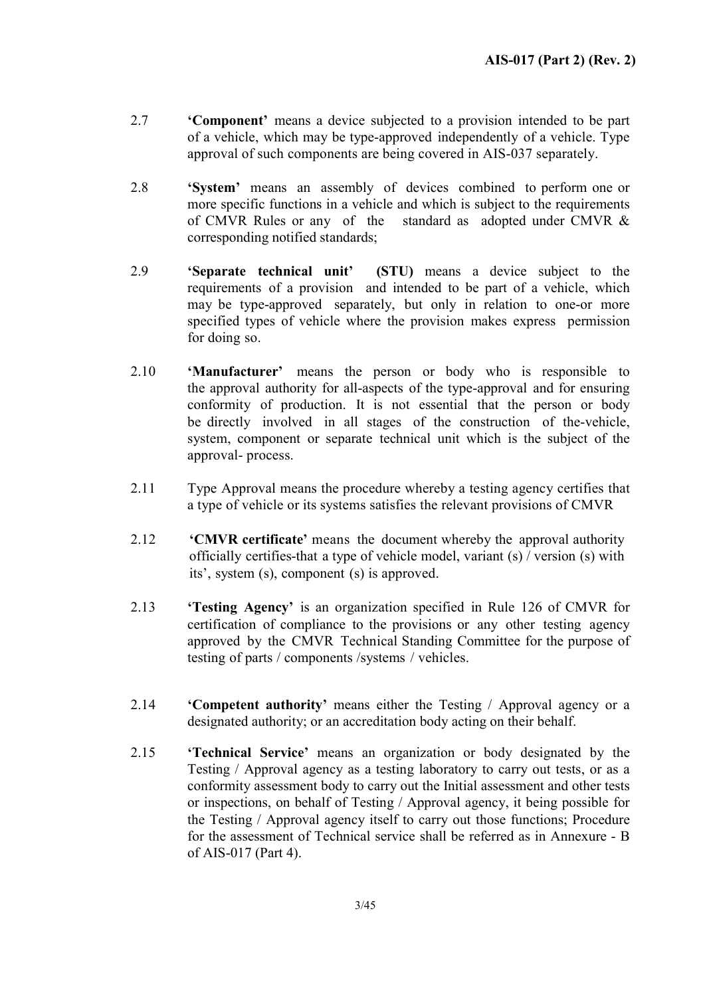- 2.7 'Component' means a device subjected to a provision intended to be part of a vehicle, which may be type-approved independently of a vehicle. Type approval of such components are being covered in AIS-037 separately.
- 2.8 'System' means an assembly of devices combined to perform one or more specific functions in a vehicle and which is subject to the requirements of CMVR Rules or any of the standard as adopted under CMVR & corresponding notified standards;
- 2.9 'Separate technical unit' (STU) means a device subject to the requirements of a provision and intended to be part of a vehicle, which may be type-approved separately, but only in relation to one-or more specified types of vehicle where the provision makes express permission for doing so.
- 2.10 'Manufacturer' means the person or body who is responsible to the approval authority for all-aspects of the type-approval and for ensuring conformity of production. It is not essential that the person or body be directly involved in all stages of the construction of the-vehicle, system, component or separate technical unit which is the subject of the approval- process.
- 2.11 Type Approval means the procedure whereby a testing agency certifies that a type of vehicle or its systems satisfies the relevant provisions of CMVR
- 2.12 **CMVR certificate'** means the document whereby the approval authority officially certifies-that a type of vehicle model, variant (s) / version (s) with its', system (s), component (s) is approved.
- 2.13 'Testing Agency' is an organization specified in Rule 126 of CMVR for certification of compliance to the provisions or any other testing agency approved by the CMVR Technical Standing Committee for the purpose of testing of parts / components /systems / vehicles.
- 2.14 'Competent authority' means either the Testing / Approval agency or a designated authority; or an accreditation body acting on their behalf.
- 2.15 'Technical Service' means an organization or body designated by the Testing / Approval agency as a testing laboratory to carry out tests, or as a conformity assessment body to carry out the Initial assessment and other tests or inspections, on behalf of Testing / Approval agency, it being possible for the Testing / Approval agency itself to carry out those functions; Procedure for the assessment of Technical service shall be referred as in Annexure - B of AIS-017 (Part 4).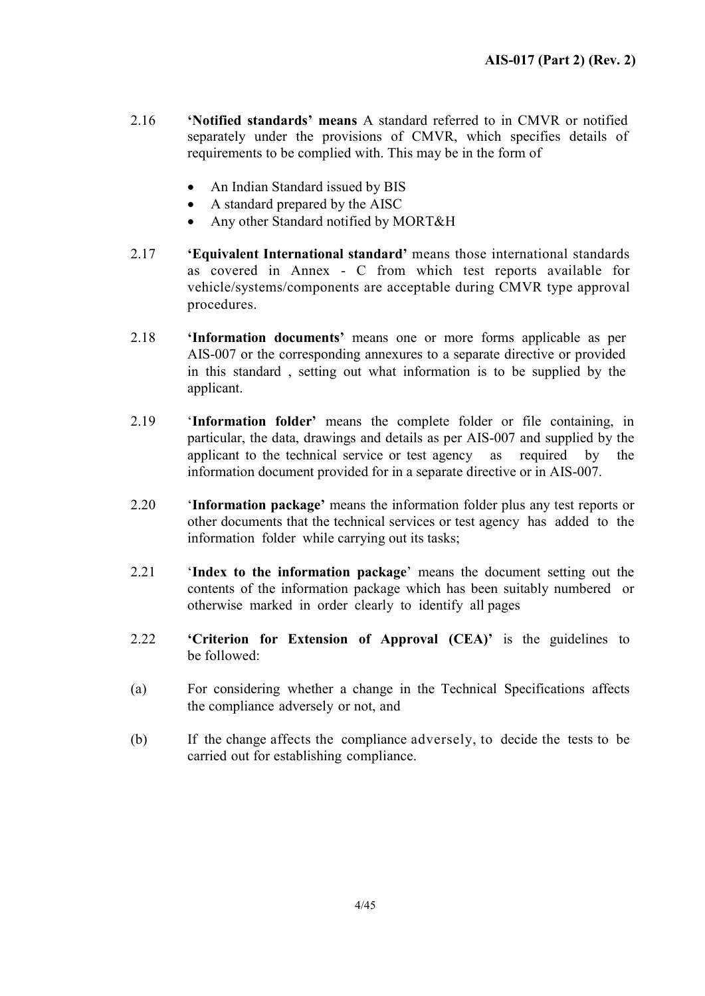- 2.16 'Notified standards' means A standard referred to in CMVR or notified separately under the provisions of CMVR, which specifies details of requirements to be complied with. This may be in the form of
	- An Indian Standard issued by BIS
	- A standard prepared by the AISC
	- Any other Standard notified by MORT&H
- 2.17 'Equivalent International standard' means those international standards as covered in Annex - C from which test reports available for vehicle/systems/components are acceptable during CMVR type approval procedures.
- 2.18 'Information documents' means one or more forms applicable as per AIS-007 or the corresponding annexures to a separate directive or provided in this standard , setting out what information is to be supplied by the applicant.
- 2.19 'Information folder' means the complete folder or file containing, in particular, the data, drawings and details as per AIS-007 and supplied by the applicant to the technical service or test agency as required by the information document provided for in a separate directive or in AIS-007.
- 2.20 'Information package' means the information folder plus any test reports or other documents that the technical services or test agency has added to the information folder while carrying out its tasks;
- 2.21 'Index to the information package' means the document setting out the contents of the information package which has been suitably numbered or otherwise marked in order clearly to identify all pages
- 2.22 'Criterion for Extension of Approval (CEA)' is the guidelines to be followed:
- (a) For considering whether a change in the Technical Specifications affects the compliance adversely or not, and
- (b) If the change affects the compliance adversely, to decide the tests to be carried out for establishing compliance.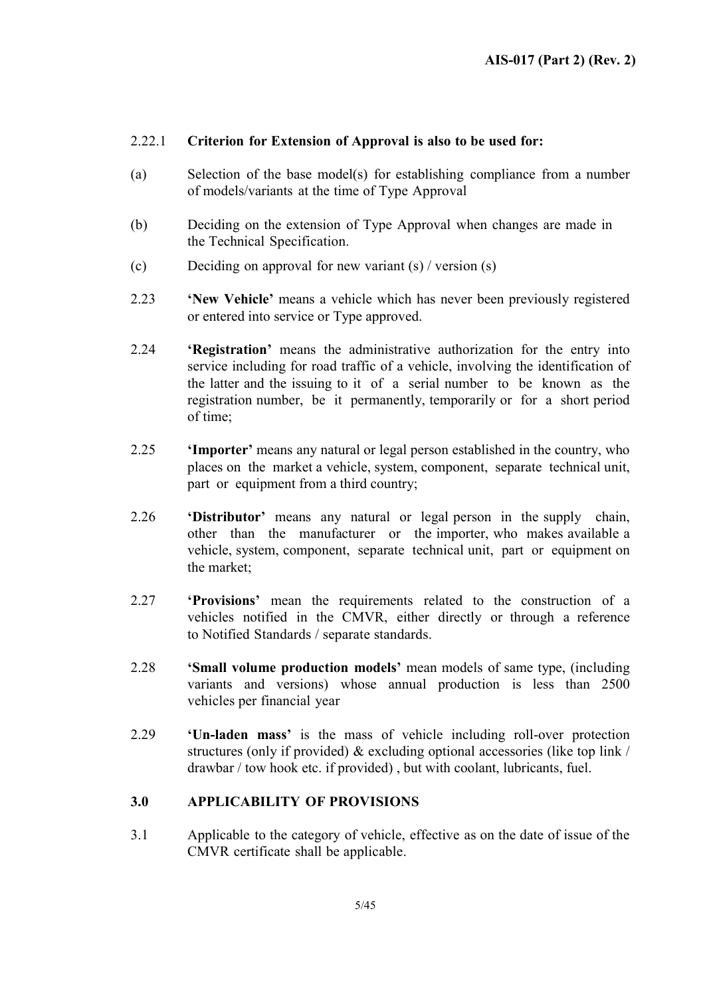# 2.22.1 Criterion for Extension of Approval is also to be used for:

- (a) Selection of the base model(s) for establishing compliance from a number of models/variants at the time of Type Approval
- (b) Deciding on the extension of Type Approval when changes are made in the Technical Specification.
- (c) Deciding on approval for new variant (s) / version (s)
- 2.23 'New Vehicle' means a vehicle which has never been previously registered or entered into service or Type approved.
- 2.24 'Registration' means the administrative authorization for the entry into service including for road traffic of a vehicle, involving the identification of the latter and the issuing to it of a serial number to be known as the registration number, be it permanently, temporarily or for a short period of time;
- 2.25 'Importer' means any natural or legal person established in the country, who places on the market a vehicle, system, component, separate technical unit, part or equipment from a third country;
- 2.26 'Distributor' means any natural or legal person in the supply chain, other than the manufacturer or the importer, who makes available a vehicle, system, component, separate technical unit, part or equipment on the market;
- 2.27 'Provisions' mean the requirements related to the construction of a vehicles notified in the CMVR, either directly or through a reference to Notified Standards / separate standards.
- 2.28 'Small volume production models' mean models of same type, (including variants and versions) whose annual production is less than 2500 vehicles per financial year
- 2.29 'Un-laden mass' is the mass of vehicle including roll-over protection structures (only if provided) & excluding optional accessories (like top link / drawbar / tow hook etc. if provided) , but with coolant, lubricants, fuel.

# 3.0 APPLICABILITY OF PROVISIONS

3.1 Applicable to the category of vehicle, effective as on the date of issue of the CMVR certificate shall be applicable.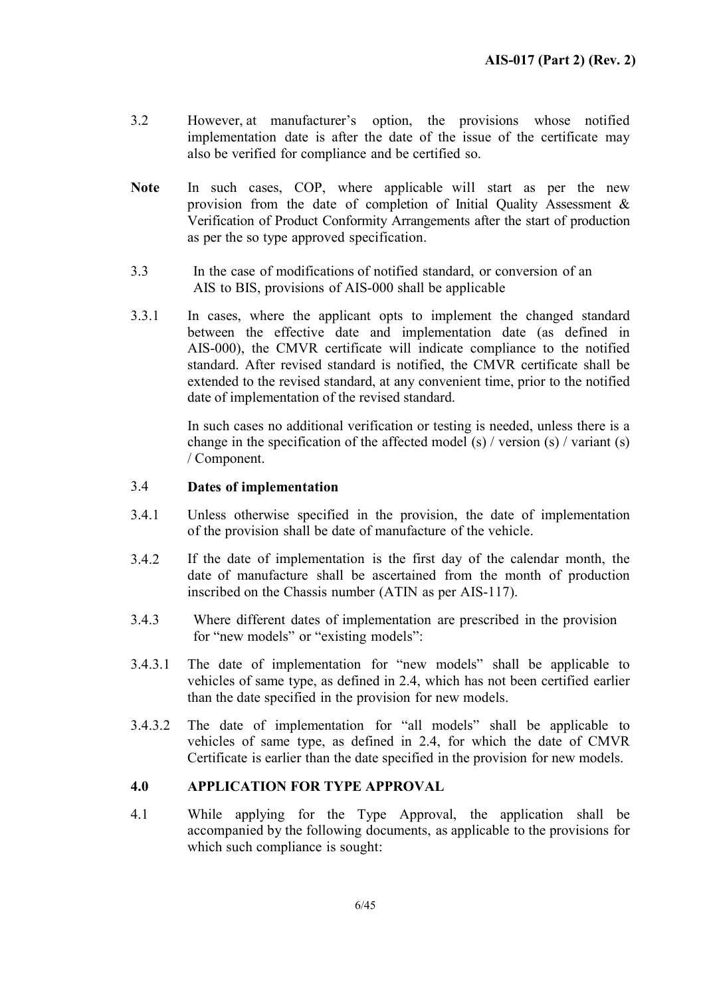- 3.2 However, at manufacturer's option, the provisions whose notified implementation date is after the date of the issue of the certificate may also be verified for compliance and be certified so.
- Note In such cases, COP, where applicable will start as per the new provision from the date of completion of Initial Quality Assessment & Verification of Product Conformity Arrangements after the start of production as per the so type approved specification.
- 3.3 In the case of modifications of notified standard, or conversion of an AIS to BIS, provisions of AIS-000 shall be applicable
- 3.3.1 In cases, where the applicant opts to implement the changed standard between the effective date and implementation date (as defined in AIS-000), the CMVR certificate will indicate compliance to the notified standard. After revised standard is notified, the CMVR certificate shall be extended to the revised standard, at any convenient time, prior to the notified date of implementation of the revised standard.

In such cases no additional verification or testing is needed, unless there is a change in the specification of the affected model (s) / version (s) / variant (s) / Component.

# 3.4 Dates of implementation

- 3.4.1 Unless otherwise specified in the provision, the date of implementation of the provision shall be date of manufacture of the vehicle.
- 3.4.2 If the date of implementation is the first day of the calendar month, the date of manufacture shall be ascertained from the month of production inscribed on the Chassis number (ATIN as per AIS-117).
- 3.4.3 Where different dates of implementation are prescribed in the provision for "new models" or "existing models":
- 3.4.3.1 The date of implementation for "new models" shall be applicable to vehicles of same type, as defined in 2.4, which has not been certified earlier than the date specified in the provision for new models.
- 3.4.3.2 The date of implementation for "all models" shall be applicable to vehicles of same type, as defined in 2.4, for which the date of CMVR Certificate is earlier than the date specified in the provision for new models.

### 4.0 APPLICATION FOR TYPE APPROVAL

4.1 While applying for the Type Approval, the application shall be accompanied by the following documents, as applicable to the provisions for which such compliance is sought: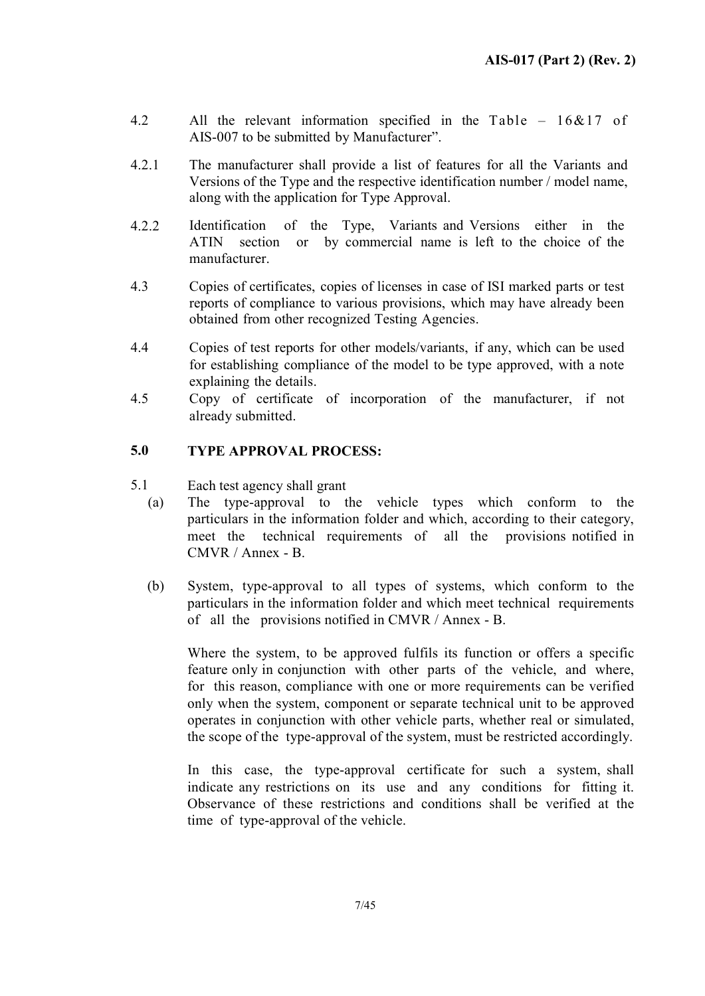- 4.2 All the relevant information specified in the Table 16&17 of AIS-007 to be submitted by Manufacturer".
- 4.2.1 The manufacturer shall provide a list of features for all the Variants and Versions of the Type and the respective identification number / model name, along with the application for Type Approval.
- 4.2.2 Identification of the Type, Variants and Versions either in the ATIN section or by commercial name is left to the choice of the manufacturer.
- 4.3 Copies of certificates, copies of licenses in case of ISI marked parts or test reports of compliance to various provisions, which may have already been obtained from other recognized Testing Agencies.
- 4.4 Copies of test reports for other models/variants, if any, which can be used for establishing compliance of the model to be type approved, with a note explaining the details.
- 4.5 Copy of certificate of incorporation of the manufacturer, if not already submitted.

# 5.0 TYPE APPROVAL PROCESS:

- 5.1 Each test agency shall grant
	- (a) The type-approval to the vehicle types which conform to the particulars in the information folder and which, according to their category, meet the technical requirements of all the provisions notified in CMVR / Annex - B.
	- (b) System, type-approval to all types of systems, which conform to the particulars in the information folder and which meet technical requirements of all the provisions notified in CMVR / Annex - B.

Where the system, to be approved fulfils its function or offers a specific feature only in conjunction with other parts of the vehicle, and where, for this reason, compliance with one or more requirements can be verified only when the system, component or separate technical unit to be approved operates in conjunction with other vehicle parts, whether real or simulated, the scope of the type-approval of the system, must be restricted accordingly.

 In this case, the type-approval certificate for such a system, shall indicate any restrictions on its use and any conditions for fitting it. Observance of these restrictions and conditions shall be verified at the time of type-approval of the vehicle.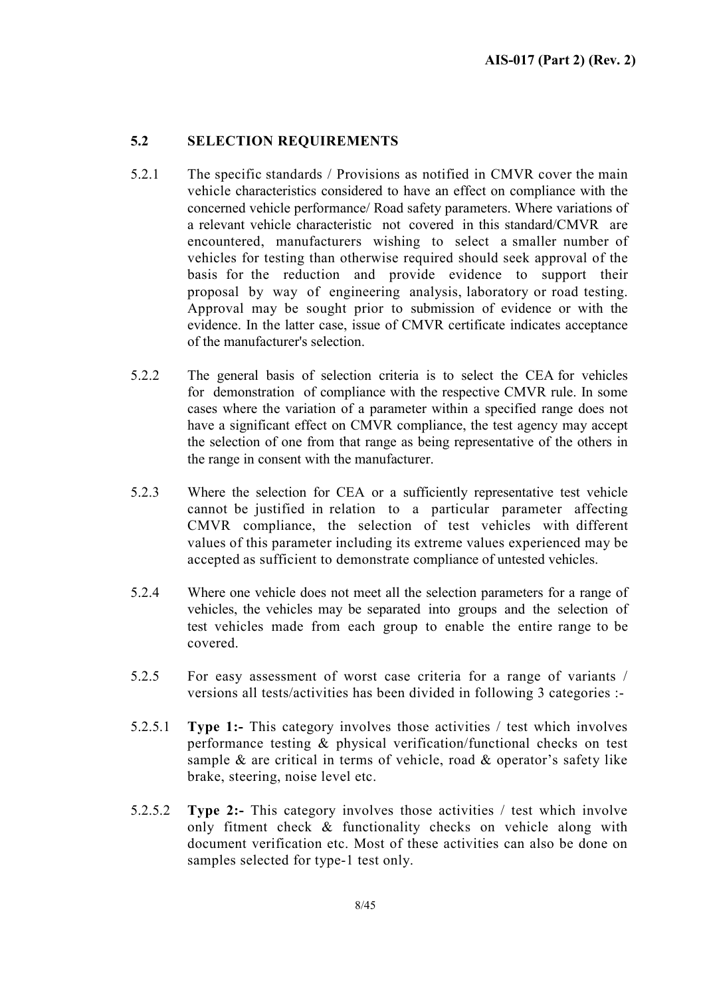# 5.2 SELECTION REQUIREMENTS

- 5.2.1 The specific standards / Provisions as notified in CMVR cover the main vehicle characteristics considered to have an effect on compliance with the concerned vehicle performance/ Road safety parameters. Where variations of a relevant vehicle characteristic not covered in this standard/CMVR are encountered, manufacturers wishing to select a smaller number of vehicles for testing than otherwise required should seek approval of the basis for the reduction and provide evidence to support their proposal by way of engineering analysis, laboratory or road testing. Approval may be sought prior to submission of evidence or with the evidence. In the latter case, issue of CMVR certificate indicates acceptance of the manufacturer's selection.
- 5.2.2 The general basis of selection criteria is to select the CEA for vehicles for demonstration of compliance with the respective CMVR rule. In some cases where the variation of a parameter within a specified range does not have a significant effect on CMVR compliance, the test agency may accept the selection of one from that range as being representative of the others in the range in consent with the manufacturer.
- 5.2.3 Where the selection for CEA or a sufficiently representative test vehicle cannot be justified in relation to a particular parameter affecting CMVR compliance, the selection of test vehicles with different values of this parameter including its extreme values experienced may be accepted as sufficient to demonstrate compliance of untested vehicles.
- 5.2.4 Where one vehicle does not meet all the selection parameters for a range of vehicles, the vehicles may be separated into groups and the selection of test vehicles made from each group to enable the entire range to be covered.
- 5.2.5 For easy assessment of worst case criteria for a range of variants / versions all tests/activities has been divided in following 3 categories :-
- 5.2.5.1 Type 1:- This category involves those activities / test which involves performance testing & physical verification/functional checks on test sample & are critical in terms of vehicle, road & operator's safety like brake, steering, noise level etc.
- 5.2.5.2 Type 2:- This category involves those activities / test which involve only fitment check & functionality checks on vehicle along with document verification etc. Most of these activities can also be done on samples selected for type-1 test only.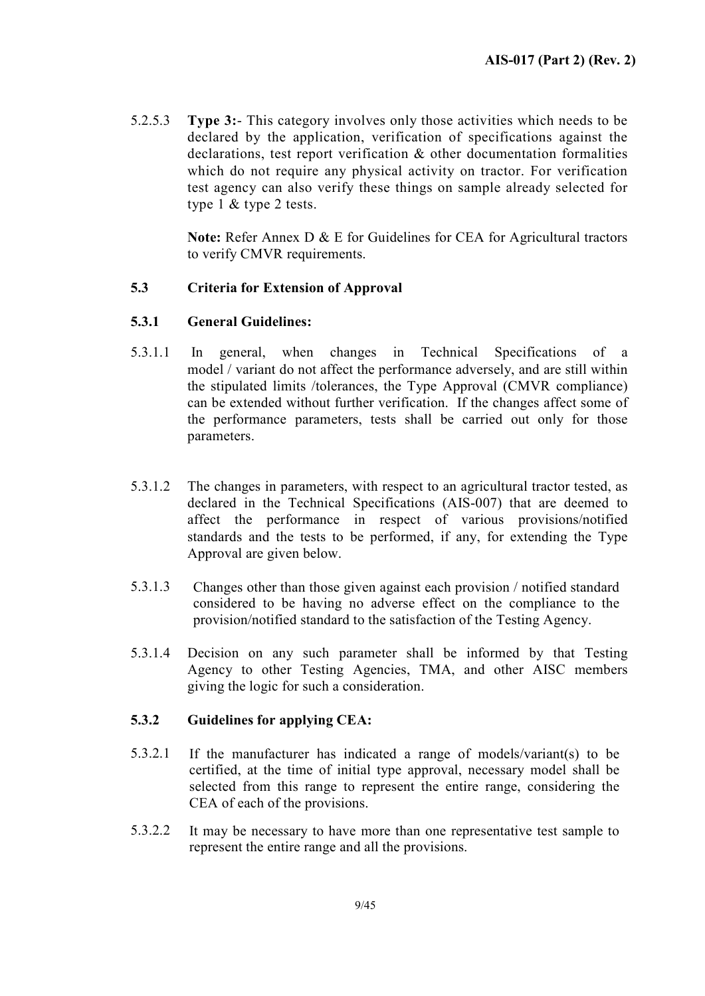5.2.5.3 Type 3:- This category involves only those activities which needs to be declared by the application, verification of specifications against the declarations, test report verification & other documentation formalities which do not require any physical activity on tractor. For verification test agency can also verify these things on sample already selected for type 1 & type 2 tests.

> Note: Refer Annex D & E for Guidelines for CEA for Agricultural tractors to verify CMVR requirements.

# 5.3 Criteria for Extension of Approval

# 5.3.1 General Guidelines:

- 5.3.1.1 In general, when changes in Technical Specifications of a model / variant do not affect the performance adversely, and are still within the stipulated limits /tolerances, the Type Approval (CMVR compliance) can be extended without further verification. If the changes affect some of the performance parameters, tests shall be carried out only for those parameters.
- 5.3.1.2 The changes in parameters, with respect to an agricultural tractor tested, as declared in the Technical Specifications (AIS-007) that are deemed to affect the performance in respect of various provisions/notified standards and the tests to be performed, if any, for extending the Type Approval are given below.
- 5.3.1.3 Changes other than those given against each provision / notified standard considered to be having no adverse effect on the compliance to the provision/notified standard to the satisfaction of the Testing Agency.
- 5.3.1.4 Decision on any such parameter shall be informed by that Testing Agency to other Testing Agencies, TMA, and other AISC members giving the logic for such a consideration.

# 5.3.2 Guidelines for applying CEA:

- 5.3.2.1 If the manufacturer has indicated a range of models/variant(s) to be certified, at the time of initial type approval, necessary model shall be selected from this range to represent the entire range, considering the CEA of each of the provisions.
- 5.3.2.2 It may be necessary to have more than one representative test sample to represent the entire range and all the provisions.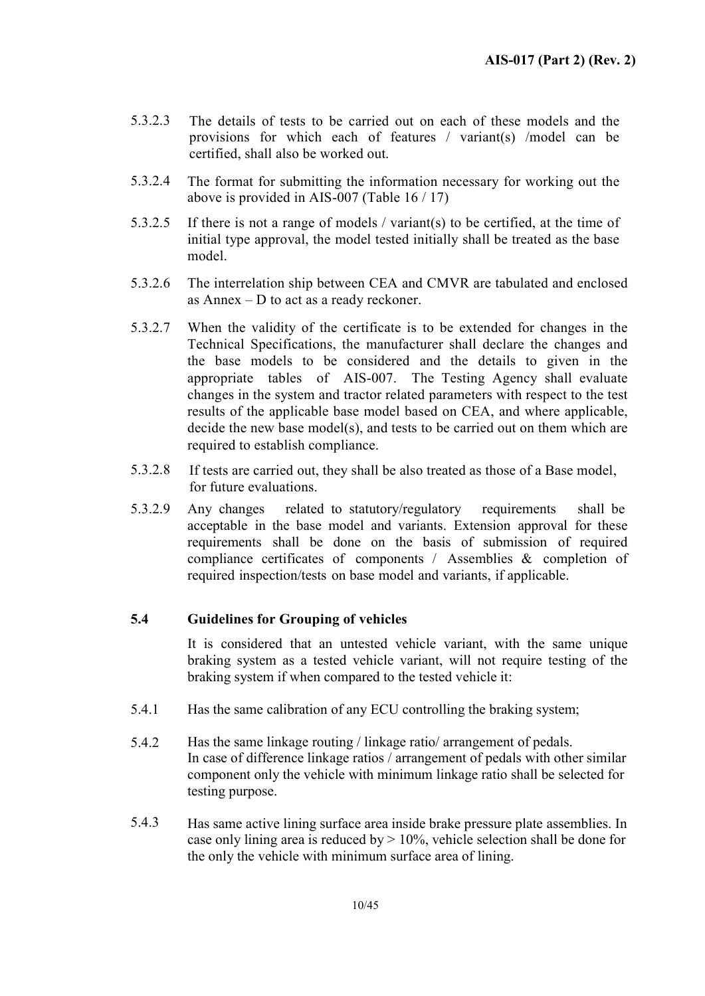- 5.3.2.3 The details of tests to be carried out on each of these models and the provisions for which each of features / variant(s) /model can be certified, shall also be worked out.
- 5.3.2.4 The format for submitting the information necessary for working out the above is provided in AIS-007 (Table 16 / 17)
- 5.3.2.5 If there is not a range of models / variant(s) to be certified, at the time of initial type approval, the model tested initially shall be treated as the base model.
- 5.3.2.6 The interrelation ship between CEA and CMVR are tabulated and enclosed as Annex – D to act as a ready reckoner.
- 5.3.2.7 When the validity of the certificate is to be extended for changes in the Technical Specifications, the manufacturer shall declare the changes and the base models to be considered and the details to given in the appropriate tables of AIS-007. The Testing Agency shall evaluate changes in the system and tractor related parameters with respect to the test results of the applicable base model based on CEA, and where applicable, decide the new base model(s), and tests to be carried out on them which are required to establish compliance.
- 5.3.2.8 If tests are carried out, they shall be also treated as those of a Base model, for future evaluations.
- 5.3.2.9 Any changes related to statutory/regulatory requirements shall be acceptable in the base model and variants. Extension approval for these requirements shall be done on the basis of submission of required compliance certificates of components / Assemblies & completion of required inspection/tests on base model and variants, if applicable.

# 5.4 Guidelines for Grouping of vehicles

It is considered that an untested vehicle variant, with the same unique braking system as a tested vehicle variant, will not require testing of the braking system if when compared to the tested vehicle it:

- 5.4.1 Has the same calibration of any ECU controlling the braking system;
- 5.4.2 Has the same linkage routing / linkage ratio/ arrangement of pedals. In case of difference linkage ratios / arrangement of pedals with other similar component only the vehicle with minimum linkage ratio shall be selected for testing purpose.
- 5.4.3 Has same active lining surface area inside brake pressure plate assemblies. In case only lining area is reduced by  $> 10\%$ , vehicle selection shall be done for the only the vehicle with minimum surface area of lining.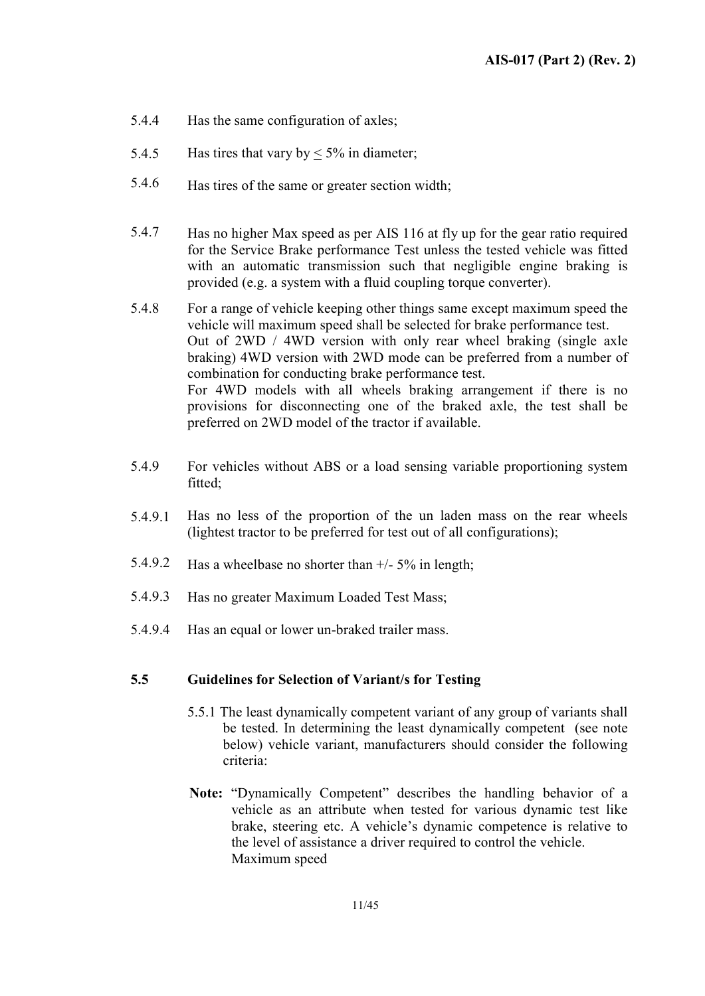- 5.4.4 Has the same configuration of axles;
- 5.4.5 Has tires that vary  $by < 5\%$  in diameter;
- 5.4.6 Has tires of the same or greater section width;
- 5.4.7 Has no higher Max speed as per AIS 116 at fly up for the gear ratio required for the Service Brake performance Test unless the tested vehicle was fitted with an automatic transmission such that negligible engine braking is provided (e.g. a system with a fluid coupling torque converter).
- 5.4.8 For a range of vehicle keeping other things same except maximum speed the vehicle will maximum speed shall be selected for brake performance test. Out of 2WD / 4WD version with only rear wheel braking (single axle braking) 4WD version with 2WD mode can be preferred from a number of combination for conducting brake performance test. For 4WD models with all wheels braking arrangement if there is no provisions for disconnecting one of the braked axle, the test shall be preferred on 2WD model of the tractor if available.
- 5.4.9 For vehicles without ABS or a load sensing variable proportioning system fitted;
- 5.4.9.1 Has no less of the proportion of the un laden mass on the rear wheels (lightest tractor to be preferred for test out of all configurations);
- 5.4.9.2 Has a wheelbase no shorter than  $+/- 5\%$  in length;
- 5.4.9.3 Has no greater Maximum Loaded Test Mass;
- 5.4.9.4 Has an equal or lower un-braked trailer mass.

## 5.5 Guidelines for Selection of Variant/s for Testing

- 5.5.1 The least dynamically competent variant of any group of variants shall be tested. In determining the least dynamically competent (see note below) vehicle variant, manufacturers should consider the following criteria:
- Note: "Dynamically Competent" describes the handling behavior of a vehicle as an attribute when tested for various dynamic test like brake, steering etc. A vehicle's dynamic competence is relative to the level of assistance a driver required to control the vehicle. Maximum speed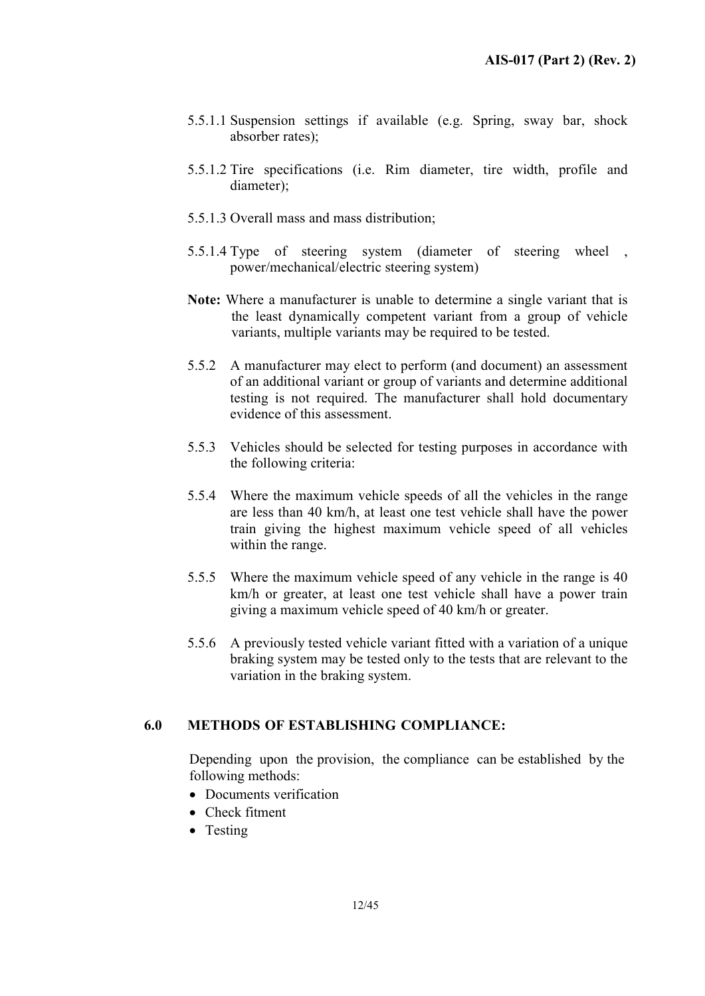- 5.5.1.1 Suspension settings if available (e.g. Spring, sway bar, shock absorber rates);
- 5.5.1.2 Tire specifications (i.e. Rim diameter, tire width, profile and diameter);
- 5.5.1.3 Overall mass and mass distribution;
- 5.5.1.4 Type of steering system (diameter of steering wheel , power/mechanical/electric steering system)
- Note: Where a manufacturer is unable to determine a single variant that is the least dynamically competent variant from a group of vehicle variants, multiple variants may be required to be tested.
- 5.5.2 A manufacturer may elect to perform (and document) an assessment of an additional variant or group of variants and determine additional testing is not required. The manufacturer shall hold documentary evidence of this assessment.
- 5.5.3 Vehicles should be selected for testing purposes in accordance with the following criteria:
- 5.5.4 Where the maximum vehicle speeds of all the vehicles in the range are less than 40 km/h, at least one test vehicle shall have the power train giving the highest maximum vehicle speed of all vehicles within the range.
- 5.5.5 Where the maximum vehicle speed of any vehicle in the range is 40 km/h or greater, at least one test vehicle shall have a power train giving a maximum vehicle speed of 40 km/h or greater.
- 5.5.6 A previously tested vehicle variant fitted with a variation of a unique braking system may be tested only to the tests that are relevant to the variation in the braking system.

# 6.0 METHODS OF ESTABLISHING COMPLIANCE:

Depending upon the provision, the compliance can be established by the following methods:

- Documents verification
- Check fitment
- Testing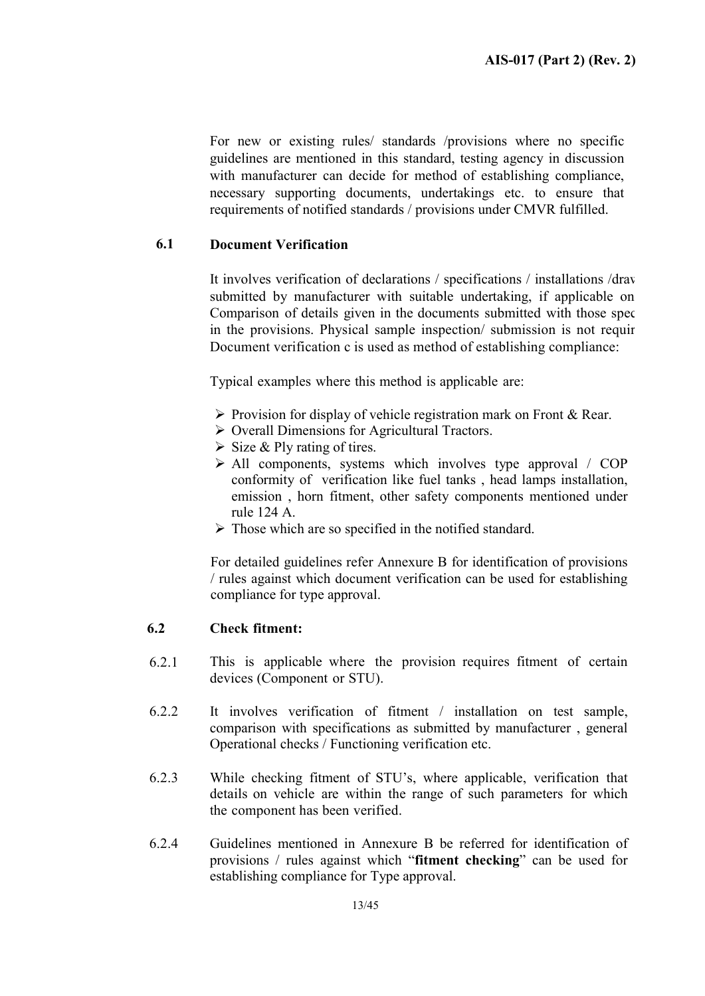For new or existing rules/ standards /provisions where no specific guidelines are mentioned in this standard, testing agency in discussion with manufacturer can decide for method of establishing compliance, necessary supporting documents, undertakings etc. to ensure that requirements of notified standards / provisions under CMVR fulfilled.

# 6.1 Document Verification

It involves verification of declarations / specifications / installations /drav submitted by manufacturer with suitable undertaking, if applicable on Comparison of details given in the documents submitted with those specified in the provisions. Physical sample inspection/ submission is not required in the provisions. Document verification c is used as method of establishing compliance:

Typical examples where this method is applicable are:

- $\triangleright$  Provision for display of vehicle registration mark on Front & Rear.
- $\triangleright$  Overall Dimensions for Agricultural Tractors.
- $\triangleright$  Size & Ply rating of tires.
- All components, systems which involves type approval / COP conformity of verification like fuel tanks , head lamps installation, emission , horn fitment, other safety components mentioned under rule 124 A.
- $\triangleright$  Those which are so specified in the notified standard.

 For detailed guidelines refer Annexure B for identification of provisions / rules against which document verification can be used for establishing compliance for type approval.

## 6.2 Check fitment:

- 6.2.1 This is applicable where the provision requires fitment of certain devices (Component or STU).
- 6.2.2 It involves verification of fitment / installation on test sample, comparison with specifications as submitted by manufacturer , general Operational checks / Functioning verification etc.
- 6.2.3 While checking fitment of STU's, where applicable, verification that details on vehicle are within the range of such parameters for which the component has been verified.
- 6.2.4 Guidelines mentioned in Annexure B be referred for identification of provisions / rules against which "fitment checking" can be used for establishing compliance for Type approval.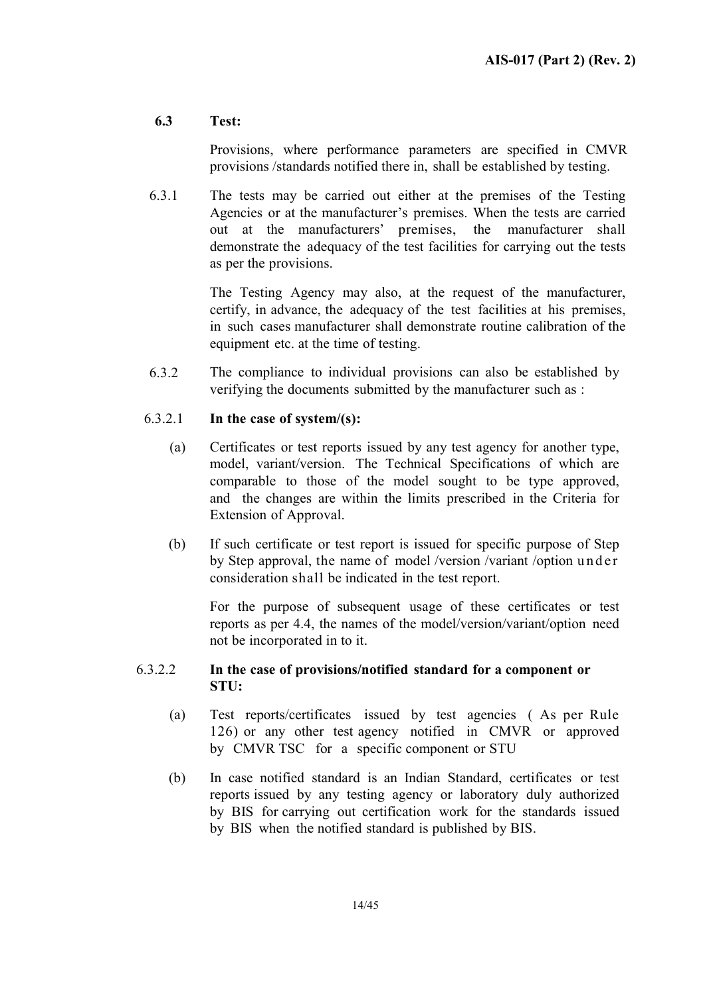# 6.3 Test:

Provisions, where performance parameters are specified in CMVR provisions /standards notified there in, shall be established by testing.

6.3.1 The tests may be carried out either at the premises of the Testing Agencies or at the manufacturer's premises. When the tests are carried out at the manufacturers' premises, the manufacturer shall demonstrate the adequacy of the test facilities for carrying out the tests as per the provisions.

> The Testing Agency may also, at the request of the manufacturer, certify, in advance, the adequacy of the test facilities at his premises, in such cases manufacturer shall demonstrate routine calibration of the equipment etc. at the time of testing.

6.3.2 The compliance to individual provisions can also be established by verifying the documents submitted by the manufacturer such as :

# 6.3.2.1 In the case of system/(s):

- (a) Certificates or test reports issued by any test agency for another type, model, variant/version. The Technical Specifications of which are comparable to those of the model sought to be type approved, and the changes are within the limits prescribed in the Criteria for Extension of Approval.
- (b) If such certificate or test report is issued for specific purpose of Step by Step approval, the name of model /version /variant /option under consideration shall be indicated in the test report.

For the purpose of subsequent usage of these certificates or test reports as per 4.4, the names of the model/version/variant/option need not be incorporated in to it.

# 6.3.2.2 In the case of provisions/notified standard for a component or STU:

- (a) Test reports/certificates issued by test agencies ( As per Rule 126) or any other test agency notified in CMVR or approved by CMVR TSC for a specific component or STU
- (b) In case notified standard is an Indian Standard, certificates or test reports issued by any testing agency or laboratory duly authorized by BIS for carrying out certification work for the standards issued by BIS when the notified standard is published by BIS.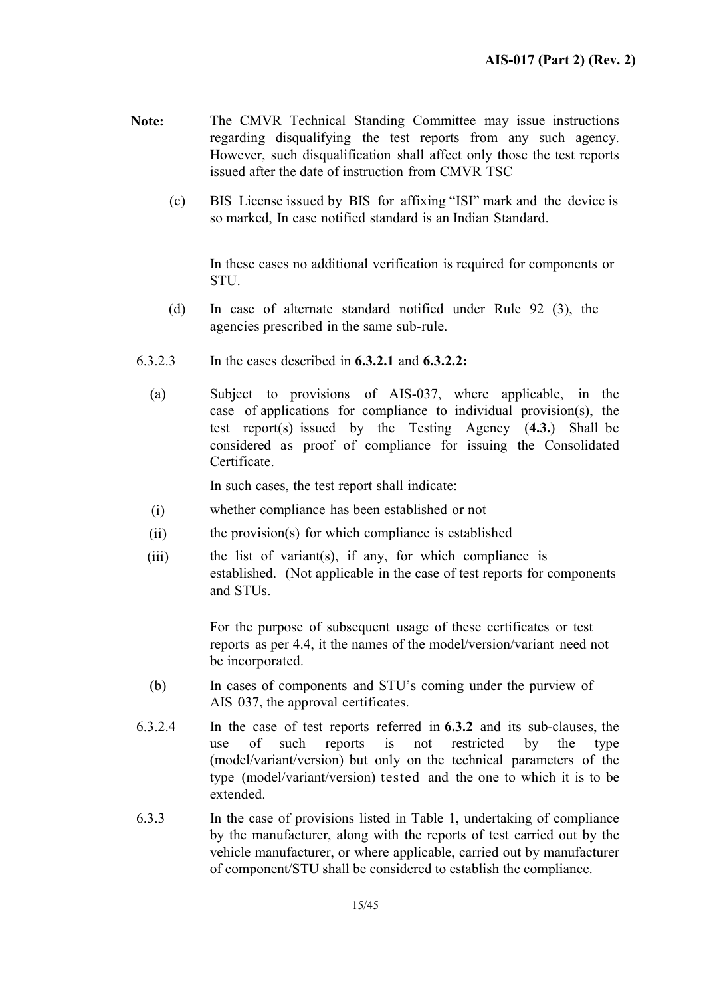- Note: The CMVR Technical Standing Committee may issue instructions regarding disqualifying the test reports from any such agency. However, such disqualification shall affect only those the test reports issued after the date of instruction from CMVR TSC
	- (c) BIS License issued by BIS for affixing "ISI" mark and the device is so marked, In case notified standard is an Indian Standard.

In these cases no additional verification is required for components or STU.

- (d) In case of alternate standard notified under Rule 92 (3), the agencies prescribed in the same sub-rule.
- 6.3.2.3 In the cases described in 6.3.2.1 and 6.3.2.2:
	- (a) Subject to provisions of AIS-037, where applicable, in the case of applications for compliance to individual provision(s), the test report(s) issued by the Testing Agency  $(4.3)$ . Shall be considered as proof of compliance for issuing the Consolidated Certificate.

In such cases, the test report shall indicate:

- (i) whether compliance has been established or not
- (ii) the provision(s) for which compliance is established
- (iii) the list of variant(s), if any, for which compliance is established. (Not applicable in the case of test reports for components and STUs.

For the purpose of subsequent usage of these certificates or test reports as per 4.4, it the names of the model/version/variant need not be incorporated.

- (b) In cases of components and STU's coming under the purview of AIS 037, the approval certificates.
- 6.3.2.4 In the case of test reports referred in 6.3.2 and its sub-clauses, the use of such reports is not restricted by the type (model/variant/version) but only on the technical parameters of the type (model/variant/version) tested and the one to which it is to be extended.
- 6.3.3 In the case of provisions listed in Table 1, undertaking of compliance by the manufacturer, along with the reports of test carried out by the vehicle manufacturer, or where applicable, carried out by manufacturer of component/STU shall be considered to establish the compliance.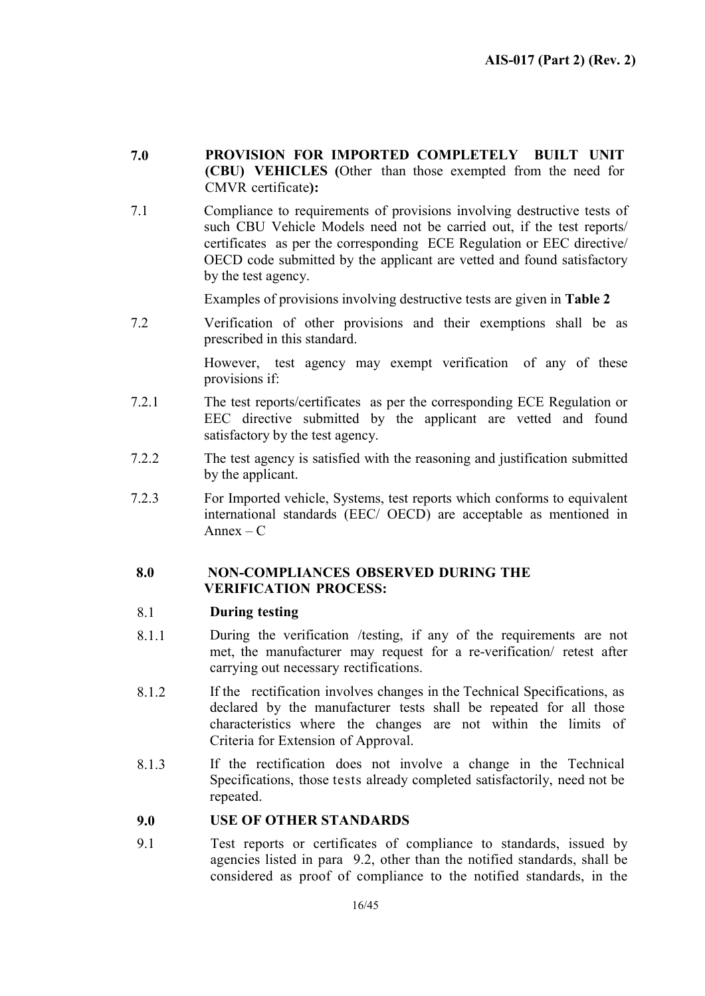- 7.0 PROVISION FOR IMPORTED COMPLETELY BUILT UNIT (CBU) VEHICLES (Other than those exempted from the need for CMVR certificate):
- 7.1 Compliance to requirements of provisions involving destructive tests of such CBU Vehicle Models need not be carried out, if the test reports/ certificates as per the corresponding ECE Regulation or EEC directive/ OECD code submitted by the applicant are vetted and found satisfactory by the test agency.

Examples of provisions involving destructive tests are given in Table 2

7.2 Verification of other provisions and their exemptions shall be as prescribed in this standard.

> However, test agency may exempt verification of any of these provisions if:

- 7.2.1 The test reports/certificates as per the corresponding ECE Regulation or EEC directive submitted by the applicant are vetted and found satisfactory by the test agency.
- 7.2.2 The test agency is satisfied with the reasoning and justification submitted by the applicant.
- 7.2.3 For Imported vehicle, Systems, test reports which conforms to equivalent international standards (EEC/ OECD) are acceptable as mentioned in  $Annex - C$

# 8.0 NON-COMPLIANCES OBSERVED DURING THE VERIFICATION PROCESS:

# 8.1 During testing

- 8.1.1 During the verification /testing, if any of the requirements are not met, the manufacturer may request for a re-verification/ retest after carrying out necessary rectifications.
- 8.1.2 If the rectification involves changes in the Technical Specifications, as declared by the manufacturer tests shall be repeated for all those characteristics where the changes are not within the limits of Criteria for Extension of Approval.
- 8.1.3 If the rectification does not involve a change in the Technical Specifications, those tests already completed satisfactorily, need not be repeated.

# 9.0 USE OF OTHER STANDARDS

9.1 Test reports or certificates of compliance to standards, issued by agencies listed in para 9.2, other than the notified standards, shall be considered as proof of compliance to the notified standards, in the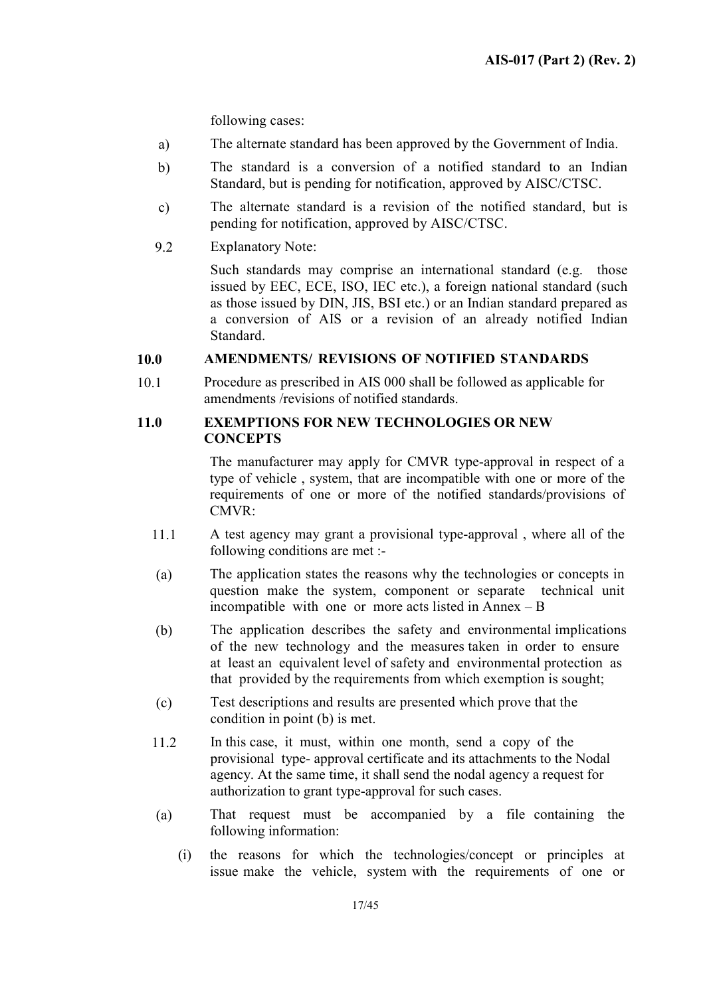following cases:

- a) The alternate standard has been approved by the Government of India.
- b) The standard is a conversion of a notified standard to an Indian Standard, but is pending for notification, approved by AISC/CTSC.
- c) The alternate standard is a revision of the notified standard, but is pending for notification, approved by AISC/CTSC.
- 9.2 Explanatory Note:

Such standards may comprise an international standard (e.g. those issued by EEC, ECE, ISO, IEC etc.), a foreign national standard (such as those issued by DIN, JIS, BSI etc.) or an Indian standard prepared as a conversion of AIS or a revision of an already notified Indian Standard.

### 10.0 AMENDMENTS/ REVISIONS OF NOTIFIED STANDARDS

10.1 Procedure as prescribed in AIS 000 shall be followed as applicable for amendments /revisions of notified standards.

# 11.0 EXEMPTIONS FOR NEW TECHNOLOGIES OR NEW **CONCEPTS**

The manufacturer may apply for CMVR type-approval in respect of a type of vehicle , system, that are incompatible with one or more of the requirements of one or more of the notified standards/provisions of CMVR:

- 11.1 A test agency may grant a provisional type-approval , where all of the following conditions are met :-
- (a) The application states the reasons why the technologies or concepts in question make the system, component or separate technical unit incompatible with one or more acts listed in Annex – B
- (b) The application describes the safety and environmental implications of the new technology and the measures taken in order to ensure at least an equivalent level of safety and environmental protection as that provided by the requirements from which exemption is sought;
- (c) Test descriptions and results are presented which prove that the condition in point (b) is met.
- 11.2 In this case, it must, within one month, send a copy of the provisional type- approval certificate and its attachments to the Nodal agency. At the same time, it shall send the nodal agency a request for authorization to grant type-approval for such cases.
- (a) That request must be accompanied by a file containing the following information:
	- (i) the reasons for which the technologies/concept or principles at issue make the vehicle, system with the requirements of one or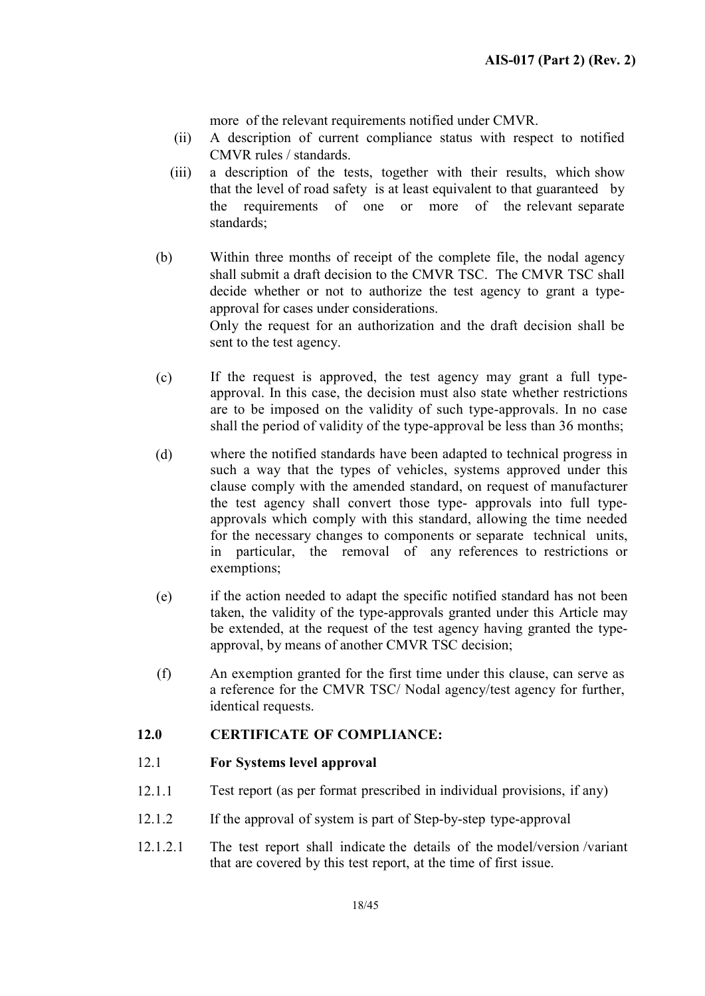more of the relevant requirements notified under CMVR.

- (ii) A description of current compliance status with respect to notified CMVR rules / standards.
- (iii) a description of the tests, together with their results, which show that the level of road safety is at least equivalent to that guaranteed by the requirements of one or more of the relevant separate standards;
- (b) Within three months of receipt of the complete file, the nodal agency shall submit a draft decision to the CMVR TSC. The CMVR TSC shall decide whether or not to authorize the test agency to grant a typeapproval for cases under considerations. Only the request for an authorization and the draft decision shall be sent to the test agency.
- (c) If the request is approved, the test agency may grant a full typeapproval. In this case, the decision must also state whether restrictions are to be imposed on the validity of such type-approvals. In no case shall the period of validity of the type-approval be less than 36 months;
- (d) where the notified standards have been adapted to technical progress in such a way that the types of vehicles, systems approved under this clause comply with the amended standard, on request of manufacturer the test agency shall convert those type- approvals into full typeapprovals which comply with this standard, allowing the time needed for the necessary changes to components or separate technical units, in particular, the removal of any references to restrictions or exemptions;
- (e) if the action needed to adapt the specific notified standard has not been taken, the validity of the type-approvals granted under this Article may be extended, at the request of the test agency having granted the typeapproval, by means of another CMVR TSC decision;
- (f) An exemption granted for the first time under this clause, can serve as a reference for the CMVR TSC/ Nodal agency/test agency for further, identical requests.

# 12.0 CERTIFICATE OF COMPLIANCE:

# 12.1 For Systems level approval

- 12.1.1 Test report (as per format prescribed in individual provisions, if any)
- 12.1.2 If the approval of system is part of Step-by-step type-approval
- 12.1.2.1 The test report shall indicate the details of the model/version /variant that are covered by this test report, at the time of first issue.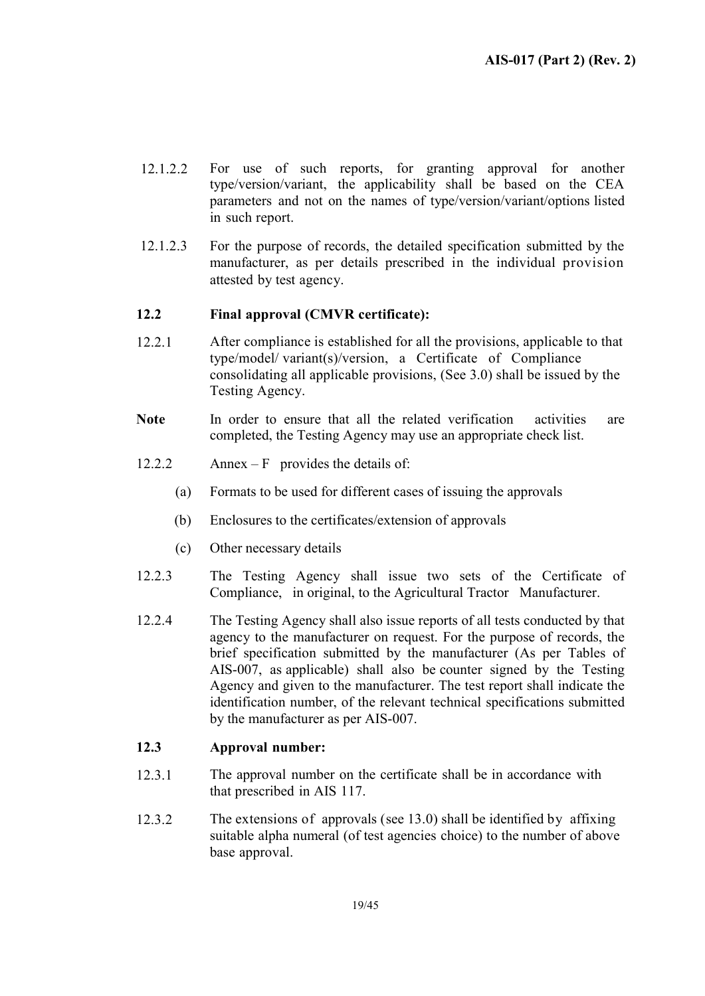- 12.1.2.2 For use of such reports, for granting approval for another type/version/variant, the applicability shall be based on the CEA parameters and not on the names of type/version/variant/options listed in such report.
- 12.1.2.3 For the purpose of records, the detailed specification submitted by the manufacturer, as per details prescribed in the individual provision attested by test agency.

# 12.2 Final approval (CMVR certificate):

- 12.2.1 After compliance is established for all the provisions, applicable to that type/model/ variant(s)/version, a Certificate of Compliance consolidating all applicable provisions, (See 3.0) shall be issued by the Testing Agency.
- Note In order to ensure that all the related verification activities are completed, the Testing Agency may use an appropriate check list.
- 12.2.2 Annex F provides the details of:
	- (a) Formats to be used for different cases of issuing the approvals
	- (b) Enclosures to the certificates/extension of approvals
	- (c) Other necessary details
- 12.2.3 The Testing Agency shall issue two sets of the Certificate of Compliance, in original, to the Agricultural Tractor Manufacturer.
- 12.2.4 The Testing Agency shall also issue reports of all tests conducted by that agency to the manufacturer on request. For the purpose of records, the brief specification submitted by the manufacturer (As per Tables of AIS-007, as applicable) shall also be counter signed by the Testing Agency and given to the manufacturer. The test report shall indicate the identification number, of the relevant technical specifications submitted by the manufacturer as per AIS-007.

# 12.3 Approval number:

- 12.3.1 The approval number on the certificate shall be in accordance with that prescribed in AIS 117.
- 12.3.2 The extensions of approvals (see 13.0) shall be identified by affixing suitable alpha numeral (of test agencies choice) to the number of above base approval.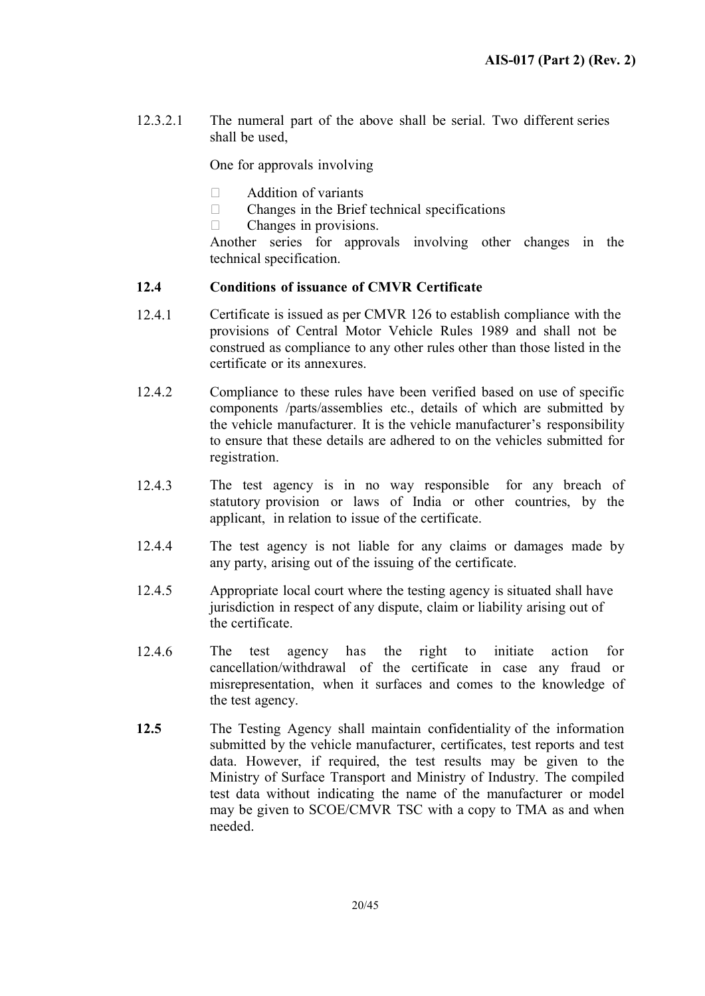12.3.2.1 The numeral part of the above shall be serial. Two different series shall be used,

One for approvals involving

- $\Box$  Addition of variants
- $\Box$  Changes in the Brief technical specifications
- $\Box$  Changes in provisions.

Another series for approvals involving other changes in the technical specification.

# 12.4 Conditions of issuance of CMVR Certificate

- 12.4.1 Certificate is issued as per CMVR 126 to establish compliance with the provisions of Central Motor Vehicle Rules 1989 and shall not be construed as compliance to any other rules other than those listed in the certificate or its annexures.
- 12.4.2 Compliance to these rules have been verified based on use of specific components /parts/assemblies etc., details of which are submitted by the vehicle manufacturer. It is the vehicle manufacturer's responsibility to ensure that these details are adhered to on the vehicles submitted for registration.
- 12.4.3 The test agency is in no way responsible for any breach of statutory provision or laws of India or other countries, by the applicant, in relation to issue of the certificate.
- 12.4.4 The test agency is not liable for any claims or damages made by any party, arising out of the issuing of the certificate.
- 12.4.5 Appropriate local court where the testing agency is situated shall have jurisdiction in respect of any dispute, claim or liability arising out of the certificate.
- 12.4.6 The test agency has the right to initiate action for cancellation/withdrawal of the certificate in case any fraud or misrepresentation, when it surfaces and comes to the knowledge of the test agency.
- 12.5 The Testing Agency shall maintain confidentiality of the information submitted by the vehicle manufacturer, certificates, test reports and test data. However, if required, the test results may be given to the Ministry of Surface Transport and Ministry of Industry. The compiled test data without indicating the name of the manufacturer or model may be given to SCOE/CMVR TSC with a copy to TMA as and when needed.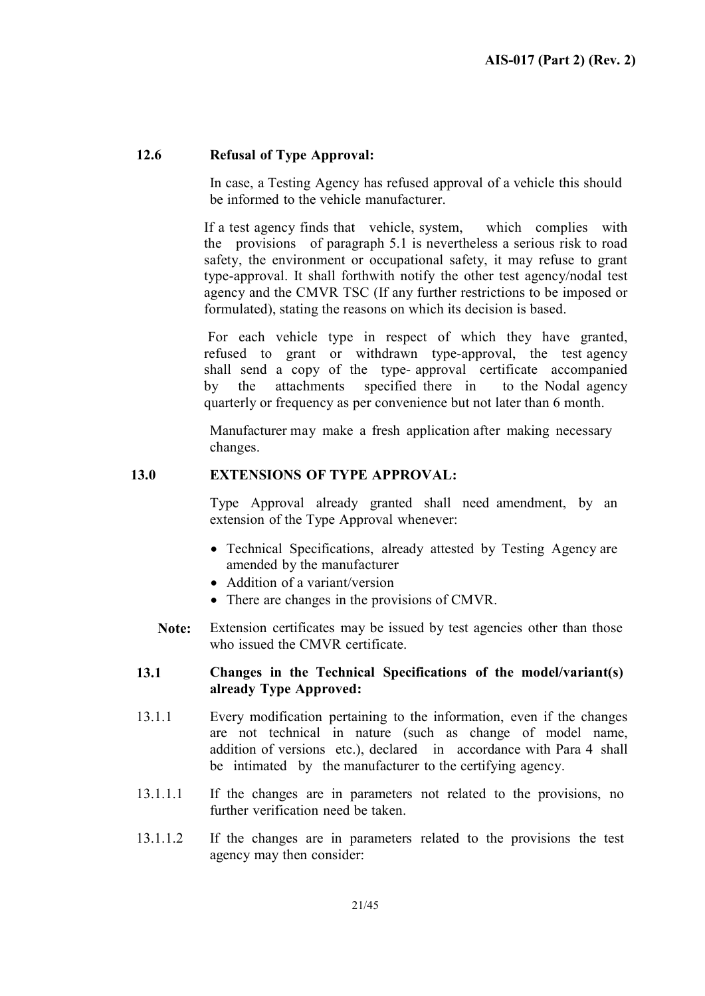# 12.6 Refusal of Type Approval:

In case, a Testing Agency has refused approval of a vehicle this should be informed to the vehicle manufacturer.

If a test agency finds that vehicle, system, which complies with the provisions of paragraph 5.1 is nevertheless a serious risk to road safety, the environment or occupational safety, it may refuse to grant type-approval. It shall forthwith notify the other test agency/nodal test agency and the CMVR TSC (If any further restrictions to be imposed or formulated), stating the reasons on which its decision is based.

 For each vehicle type in respect of which they have granted, refused to grant or withdrawn type-approval, the test agency shall send a copy of the type- approval certificate accompanied by the attachments specified there in to the Nodal agency quarterly or frequency as per convenience but not later than 6 month.

Manufacturer may make a fresh application after making necessary changes.

# 13.0 EXTENSIONS OF TYPE APPROVAL:

Type Approval already granted shall need amendment, by an extension of the Type Approval whenever:

- Technical Specifications, already attested by Testing Agency are amended by the manufacturer
- Addition of a variant/version
- There are changes in the provisions of CMVR.
- Note: Extension certificates may be issued by test agencies other than those who issued the CMVR certificate.

# 13.1 Changes in the Technical Specifications of the model/variant(s) already Type Approved:

- 13.1.1 Every modification pertaining to the information, even if the changes are not technical in nature (such as change of model name, addition of versions etc.), declared in accordance with Para 4 shall be intimated by the manufacturer to the certifying agency.
- 13.1.1.1 If the changes are in parameters not related to the provisions, no further verification need be taken.
- 13.1.1.2 If the changes are in parameters related to the provisions the test agency may then consider: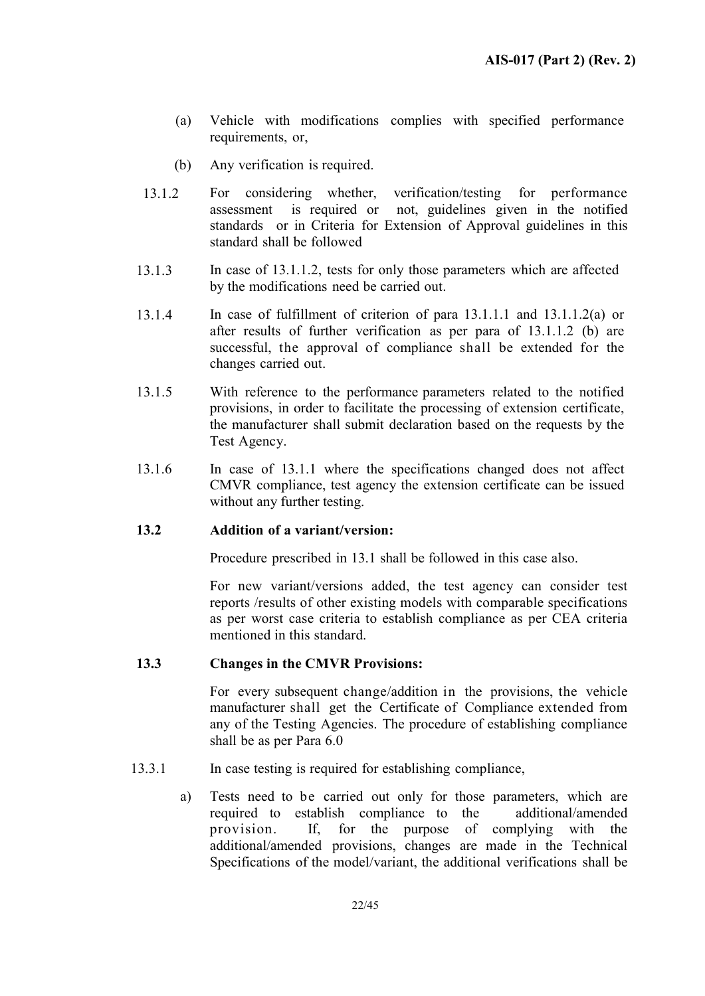- (a) Vehicle with modifications complies with specified performance requirements, or,
- (b) Any verification is required.
- 13.1.2 For considering whether, verification/testing for performance assessment is required or not, guidelines given in the notified standards or in Criteria for Extension of Approval guidelines in this standard shall be followed
- 13.1.3 In case of 13.1.1.2, tests for only those parameters which are affected by the modifications need be carried out.
- 13.1.4 In case of fulfillment of criterion of para 13.1.1.1 and 13.1.1.2(a) or after results of further verification as per para of 13.1.1.2 (b) are successful, the approval of compliance shall be extended for the changes carried out.
- 13.1.5 With reference to the performance parameters related to the notified provisions, in order to facilitate the processing of extension certificate, the manufacturer shall submit declaration based on the requests by the Test Agency.
- 13.1.6 In case of 13.1.1 where the specifications changed does not affect CMVR compliance, test agency the extension certificate can be issued without any further testing.

# 13.2 Addition of a variant/version:

Procedure prescribed in 13.1 shall be followed in this case also.

For new variant/versions added, the test agency can consider test reports /results of other existing models with comparable specifications as per worst case criteria to establish compliance as per CEA criteria mentioned in this standard.

# 13.3 Changes in the CMVR Provisions:

For every subsequent change/addition in the provisions, the vehicle manufacturer shall get the Certificate of Compliance extended from any of the Testing Agencies. The procedure of establishing compliance shall be as per Para 6.0

- 13.3.1 In case testing is required for establishing compliance,
	- a) Tests need to be carried out only for those parameters, which are required to establish compliance to the additional/amended provision. If, for the purpose of complying with the additional/amended provisions, changes are made in the Technical Specifications of the model/variant, the additional verifications shall be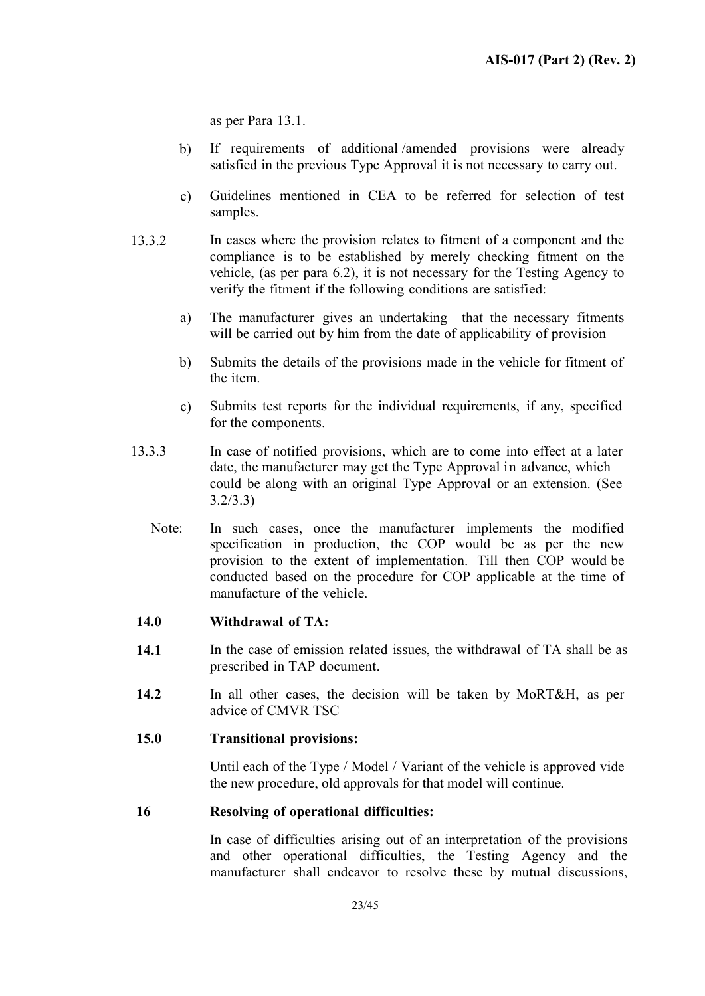as per Para 13.1.

- b) If requirements of additional /amended provisions were already satisfied in the previous Type Approval it is not necessary to carry out.
- c) Guidelines mentioned in CEA to be referred for selection of test samples.
- 13.3.2 In cases where the provision relates to fitment of a component and the compliance is to be established by merely checking fitment on the vehicle, (as per para 6.2), it is not necessary for the Testing Agency to verify the fitment if the following conditions are satisfied:
	- a) The manufacturer gives an undertaking that the necessary fitments will be carried out by him from the date of applicability of provision
	- b) Submits the details of the provisions made in the vehicle for fitment of the item.
	- c) Submits test reports for the individual requirements, if any, specified for the components.
- 13.3.3 In case of notified provisions, which are to come into effect at a later date, the manufacturer may get the Type Approval in advance, which could be along with an original Type Approval or an extension. (See 3.2/3.3)
	- Note: In such cases, once the manufacturer implements the modified specification in production, the COP would be as per the new provision to the extent of implementation. Till then COP would be conducted based on the procedure for COP applicable at the time of manufacture of the vehicle.

#### 14.0 Withdrawal of TA:

- 14.1 In the case of emission related issues, the withdrawal of TA shall be as prescribed in TAP document.
- 14.2 In all other cases, the decision will be taken by MoRT&H, as per advice of CMVR TSC

#### 15.0 Transitional provisions:

Until each of the Type / Model / Variant of the vehicle is approved vide the new procedure, old approvals for that model will continue.

### 16 Resolving of operational difficulties:

In case of difficulties arising out of an interpretation of the provisions and other operational difficulties, the Testing Agency and the manufacturer shall endeavor to resolve these by mutual discussions,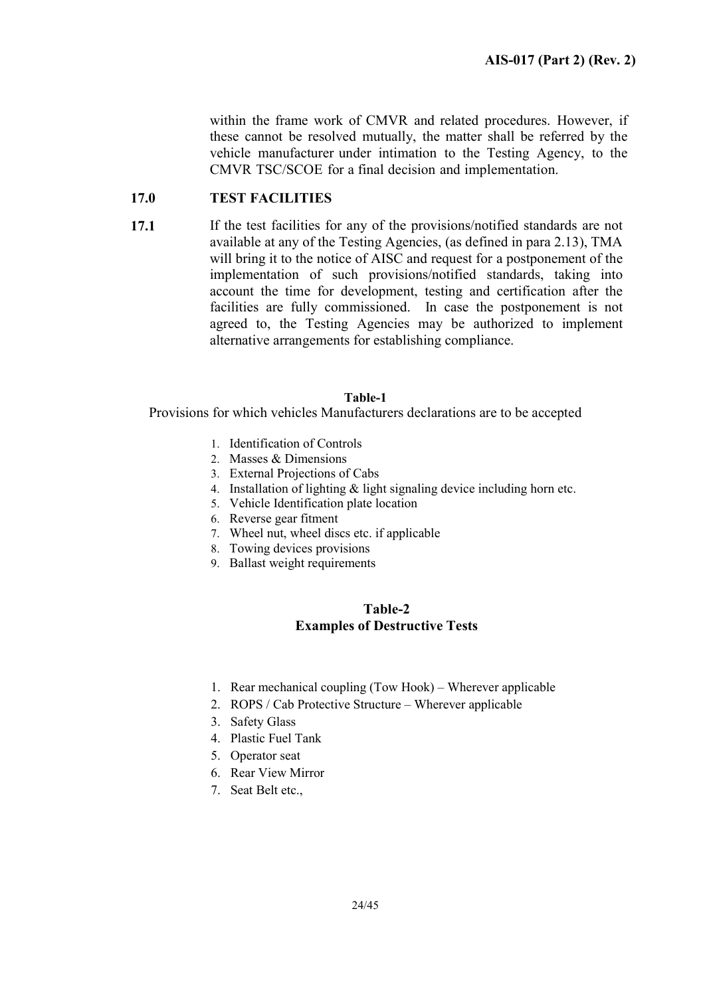within the frame work of CMVR and related procedures. However, if these cannot be resolved mutually, the matter shall be referred by the vehicle manufacturer under intimation to the Testing Agency, to the CMVR TSC/SCOE for a final decision and implementation.

### 17.0 TEST FACILITIES

17.1 If the test facilities for any of the provisions/notified standards are not available at any of the Testing Agencies, (as defined in para 2.13), TMA will bring it to the notice of AISC and request for a postponement of the implementation of such provisions/notified standards, taking into account the time for development, testing and certification after the facilities are fully commissioned. In case the postponement is not agreed to, the Testing Agencies may be authorized to implement alternative arrangements for establishing compliance.

#### Table-1

Provisions for which vehicles Manufacturers declarations are to be accepted

- 1. Identification of Controls
- 2. Masses & Dimensions
- 3. External Projections of Cabs
- 4. Installation of lighting & light signaling device including horn etc.
- 5. Vehicle Identification plate location
- 6. Reverse gear fitment
- 7. Wheel nut, wheel discs etc. if applicable
- 8. Towing devices provisions
- 9. Ballast weight requirements

# Table-2 Examples of Destructive Tests

- 1. Rear mechanical coupling (Tow Hook) Wherever applicable
- 2. ROPS / Cab Protective Structure Wherever applicable
- 3. Safety Glass
- 4. Plastic Fuel Tank
- 5. Operator seat
- 6. Rear View Mirror
- 7. Seat Belt etc.,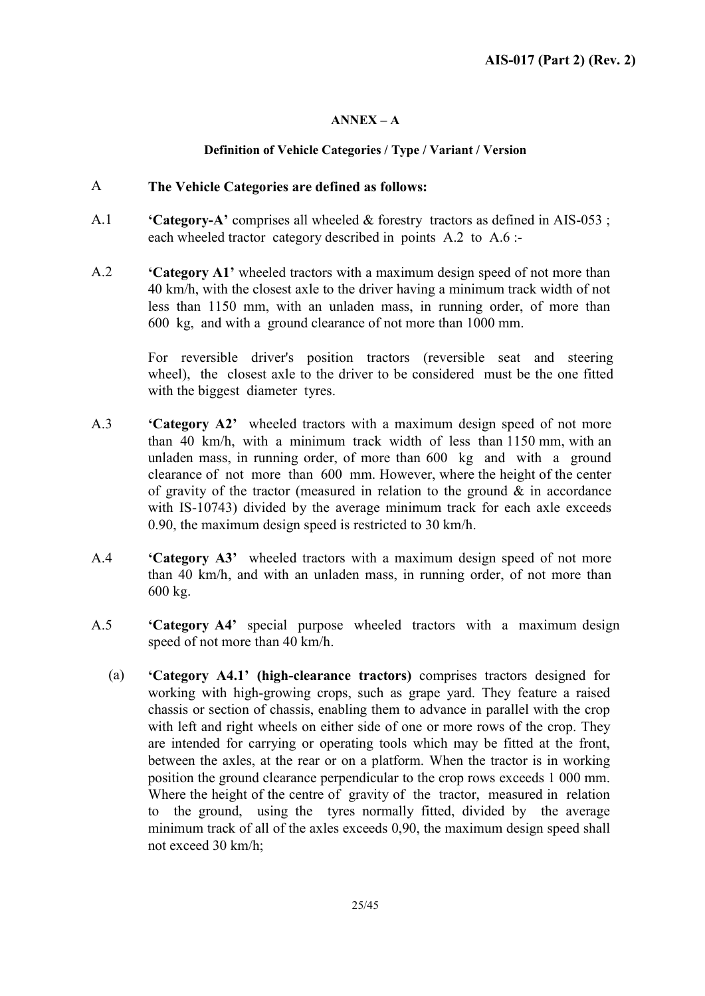# ANNEX – A

# Definition of Vehicle Categories / Type / Variant / Version

# A The Vehicle Categories are defined as follows:

- A.1 **'Category-A'** comprises all wheeled & forestry tractors as defined in AIS-053; each wheeled tractor category described in points A.2 to A.6 :-
- A.2 **Category A1'** wheeled tractors with a maximum design speed of not more than 40 km/h, with the closest axle to the driver having a minimum track width of not less than 1150 mm, with an unladen mass, in running order, of more than 600 kg, and with a ground clearance of not more than 1000 mm.

For reversible driver's position tractors (reversible seat and steering wheel), the closest axle to the driver to be considered must be the one fitted with the biggest diameter tyres.

- A.3 'Category A2' wheeled tractors with a maximum design speed of not more than 40 km/h, with a minimum track width of less than 1150 mm, with an unladen mass, in running order, of more than 600 kg and with a ground clearance of not more than 600 mm. However, where the height of the center of gravity of the tractor (measured in relation to the ground  $\&$  in accordance with IS-10743) divided by the average minimum track for each axle exceeds 0.90, the maximum design speed is restricted to 30 km/h.
- A.4 **Category A3'** wheeled tractors with a maximum design speed of not more than 40 km/h, and with an unladen mass, in running order, of not more than 600 kg.
- A.5 'Category A4' special purpose wheeled tractors with a maximum design speed of not more than 40 km/h.
	- (a) 'Category A4.1' (high-clearance tractors) comprises tractors designed for working with high-growing crops, such as grape yard. They feature a raised chassis or section of chassis, enabling them to advance in parallel with the crop with left and right wheels on either side of one or more rows of the crop. They are intended for carrying or operating tools which may be fitted at the front, between the axles, at the rear or on a platform. When the tractor is in working position the ground clearance perpendicular to the crop rows exceeds 1 000 mm. Where the height of the centre of gravity of the tractor, measured in relation to the ground, using the tyres normally fitted, divided by the average minimum track of all of the axles exceeds 0,90, the maximum design speed shall not exceed 30 km/h;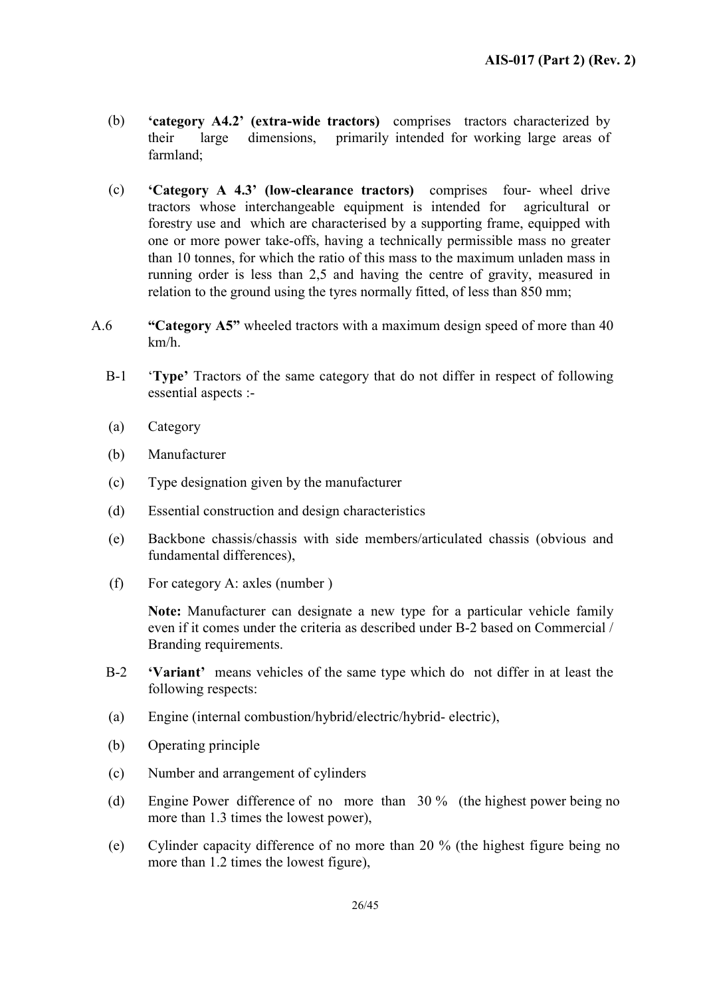- (b) 'category A4.2' (extra-wide tractors) comprises tractors characterized by their large dimensions, primarily intended for working large areas of farmland;
- (c) 'Category A 4.3' (low-clearance tractors) comprises four- wheel drive tractors whose interchangeable equipment is intended for agricultural or forestry use and which are characterised by a supporting frame, equipped with one or more power take-offs, having a technically permissible mass no greater than 10 tonnes, for which the ratio of this mass to the maximum unladen mass in running order is less than 2,5 and having the centre of gravity, measured in relation to the ground using the tyres normally fitted, of less than 850 mm;
- A.6 "Category A5" wheeled tractors with a maximum design speed of more than 40 km/h.
	- B-1 'Type' Tractors of the same category that do not differ in respect of following essential aspects :-
	- (a) Category
	- (b) Manufacturer
	- (c) Type designation given by the manufacturer
	- (d) Essential construction and design characteristics
	- (e) Backbone chassis/chassis with side members/articulated chassis (obvious and fundamental differences),
	- (f) For category A: axles (number )

Note: Manufacturer can designate a new type for a particular vehicle family even if it comes under the criteria as described under B-2 based on Commercial / Branding requirements.

- B-2 'Variant' means vehicles of the same type which do not differ in at least the following respects:
- (a) Engine (internal combustion/hybrid/electric/hybrid- electric),
- (b) Operating principle
- (c) Number and arrangement of cylinders
- (d) Engine Power difference of no more than 30 % (the highest power being no more than 1.3 times the lowest power),
- (e) Cylinder capacity difference of no more than 20 % (the highest figure being no more than 1.2 times the lowest figure),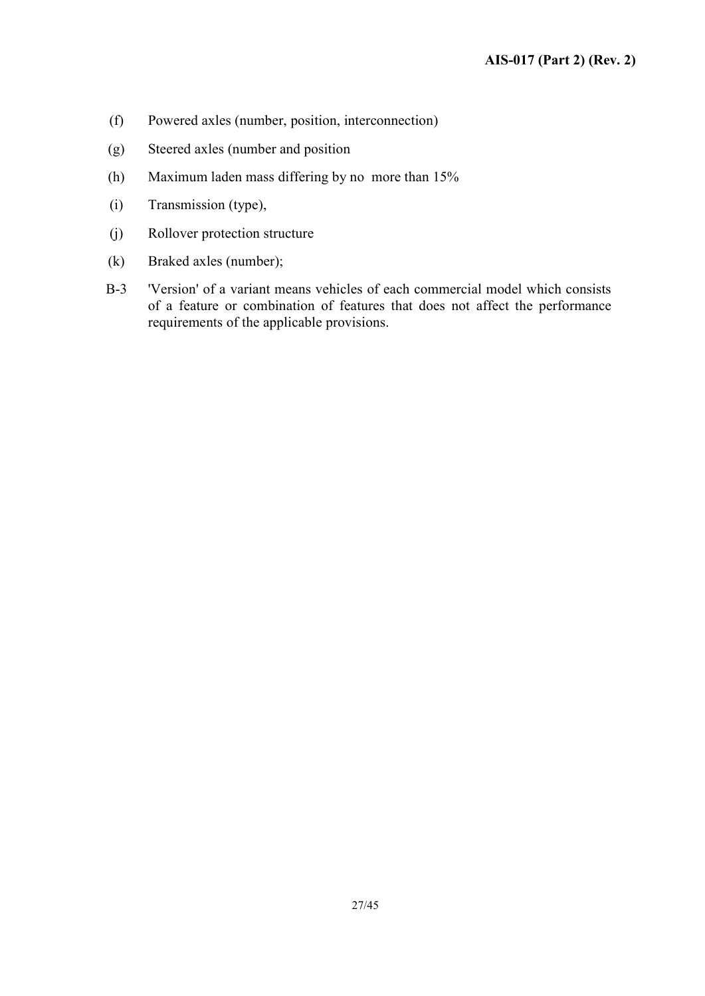- (f) Powered axles (number, position, interconnection)
- (g) Steered axles (number and position
- (h) Maximum laden mass differing by no more than 15%
- (i) Transmission (type),
- (j) Rollover protection structure
- (k) Braked axles (number);
- B-3 'Version' of a variant means vehicles of each commercial model which consists of a feature or combination of features that does not affect the performance requirements of the applicable provisions.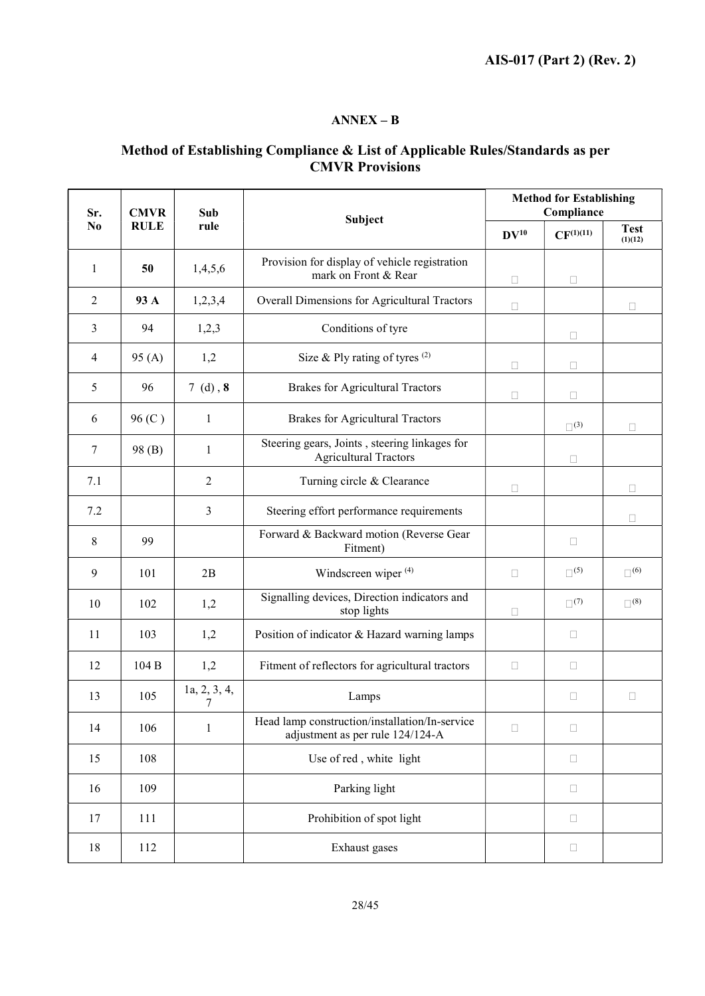# ANNEX – B

# Method of Establishing Compliance & List of Applicable Rules/Standards as per CMVR Provisions

| Sr.              | <b>CMVR</b>                    | Sub               |                                                                                    |                | <b>Method for Establishing</b><br>Compliance |                       |
|------------------|--------------------------------|-------------------|------------------------------------------------------------------------------------|----------------|----------------------------------------------|-----------------------|
| N <sub>0</sub>   | Subject<br><b>RULE</b><br>rule |                   | $DV^{10}$                                                                          | $CF^{(1)(11)}$ | <b>Test</b><br>(1)(12)                       |                       |
| $\mathbf{1}$     | 50                             | 1,4,5,6           | Provision for display of vehicle registration<br>mark on Front & Rear              | $\Box$         | $\Box$                                       |                       |
| $\overline{2}$   | 93 A                           | 1,2,3,4           | Overall Dimensions for Agricultural Tractors                                       | $\Box$         |                                              | $\Box$                |
| 3                | 94                             | 1,2,3             | Conditions of tyre                                                                 |                | $\Box$                                       |                       |
| 4                | 95(A)                          | 1,2               | Size & Ply rating of tyres $(2)$                                                   | $\Box$         | $\Box$                                       |                       |
| 5                | 96                             | 7(d), 8           | <b>Brakes for Agricultural Tractors</b>                                            | $\Box$         | П                                            |                       |
| 6                | 96 (C)                         | $\mathbf{1}$      | <b>Brakes for Agricultural Tractors</b>                                            |                | $\square$ <sup>(3)</sup>                     | П                     |
| $\tau$           | 98(B)                          | $\mathbf{1}$      | Steering gears, Joints, steering linkages for<br><b>Agricultural Tractors</b>      |                | $\Box$                                       |                       |
| 7.1              |                                | $\overline{2}$    | Turning circle & Clearance                                                         | □              |                                              | □                     |
| 7.2              |                                | $\overline{3}$    | Steering effort performance requirements                                           |                |                                              | П                     |
| 8                | 99                             |                   | Forward & Backward motion (Reverse Gear<br>Fitment)                                |                | $\Box$                                       |                       |
| $\boldsymbol{9}$ | 101                            | 2B                | Windscreen wiper (4)                                                               | $\Box$         | $\Box^{(5)}$                                 | $\Box$ <sup>(6)</sup> |
| 10               | 102                            | 1,2               | Signalling devices, Direction indicators and<br>stop lights                        | $\Box$         | $\Box$ <sup>(7)</sup>                        | $\Box^{(8)}$          |
| 11               | 103                            | 1,2               | Position of indicator & Hazard warning lamps                                       |                | $\Box$                                       |                       |
| 12               | 104 B                          | 1,2               | Fitment of reflectors for agricultural tractors                                    | $\Box$         | $\Box$                                       |                       |
| 13               | 105                            | 1a, 2, 3, 4,<br>7 | Lamps                                                                              |                | $\Box$                                       | $\Box$                |
| 14               | 106                            | $\mathbf{1}$      | Head lamp construction/installation/In-service<br>adjustment as per rule 124/124-A | $\Box$         | $\Box$                                       |                       |
| 15               | 108                            |                   | Use of red, white light                                                            |                | 0                                            |                       |
| 16               | 109                            |                   | Parking light                                                                      |                | $\Box$                                       |                       |
| 17               | 111                            |                   | Prohibition of spot light                                                          |                | $\Box$                                       |                       |
| 18               | 112                            |                   | Exhaust gases                                                                      |                | $\Box$                                       |                       |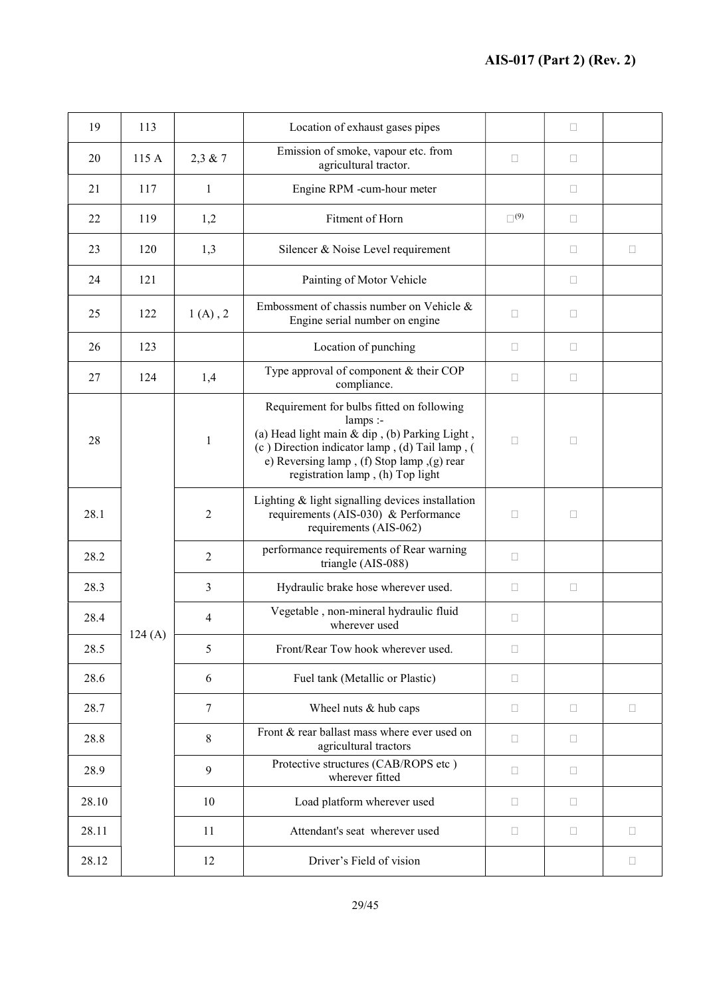| 19    | 113    |                | Location of exhaust gases pipes                                                                                                                                                                                                            |                       | □      |        |
|-------|--------|----------------|--------------------------------------------------------------------------------------------------------------------------------------------------------------------------------------------------------------------------------------------|-----------------------|--------|--------|
| 20    | 115 A  | $2,3 \& 7$     | Emission of smoke, vapour etc. from<br>agricultural tractor.                                                                                                                                                                               | □                     | $\Box$ |        |
| 21    | 117    | $\mathbf{1}$   | Engine RPM -cum-hour meter                                                                                                                                                                                                                 |                       | $\Box$ |        |
| 22    | 119    | 1,2            | Fitment of Horn                                                                                                                                                                                                                            | $\Box$ <sup>(9)</sup> | $\Box$ |        |
| 23    | 120    | 1,3            | Silencer & Noise Level requirement                                                                                                                                                                                                         |                       | Ω      | $\Box$ |
| 24    | 121    |                | Painting of Motor Vehicle                                                                                                                                                                                                                  |                       | ⊔      |        |
| 25    | 122    | 1(A), 2        | Embossment of chassis number on Vehicle &<br>Engine serial number on engine                                                                                                                                                                | $\Box$                | $\Box$ |        |
| 26    | 123    |                | Location of punching                                                                                                                                                                                                                       | □                     | $\Box$ |        |
| 27    | 124    | 1,4            | Type approval of component & their COP<br>compliance.                                                                                                                                                                                      | □                     | Ω      |        |
| 28    |        | $\mathbf{1}$   | Requirement for bulbs fitted on following<br>lamps :-<br>(a) Head light main & dip, (b) Parking Light,<br>(c) Direction indicator lamp, (d) Tail lamp, (<br>e) Reversing lamp, (f) Stop lamp, (g) rear<br>registration lamp, (h) Top light | □                     | □      |        |
| 28.1  |        | $\overline{2}$ | Lighting & light signalling devices installation<br>requirements (AIS-030) & Performance<br>requirements (AIS-062)                                                                                                                         | П                     | □      |        |
| 28.2  |        | $\overline{2}$ | performance requirements of Rear warning<br>triangle (AIS-088)                                                                                                                                                                             | □                     |        |        |
| 28.3  |        | 3              | Hydraulic brake hose wherever used.                                                                                                                                                                                                        | П                     | $\Box$ |        |
| 28.4  |        | $\overline{4}$ | Vegetable, non-mineral hydraulic fluid<br>wherever used                                                                                                                                                                                    | $\Box$                |        |        |
| 28.5  | 124(A) | 5              | Front/Rear Tow hook wherever used.                                                                                                                                                                                                         | □                     |        |        |
| 28.6  |        | 6              | Fuel tank (Metallic or Plastic)                                                                                                                                                                                                            | $\Box$                |        |        |
| 28.7  |        | $\tau$         | Wheel nuts & hub caps                                                                                                                                                                                                                      | $\Box$                | $\Box$ | $\Box$ |
| 28.8  |        | 8              | Front & rear ballast mass where ever used on<br>agricultural tractors                                                                                                                                                                      | □                     | Ω      |        |
| 28.9  |        | 9              | Protective structures (CAB/ROPS etc)<br>wherever fitted                                                                                                                                                                                    | □                     | $\Box$ |        |
| 28.10 |        | 10             | Load platform wherever used                                                                                                                                                                                                                | □                     | $\Box$ |        |
| 28.11 |        | 11             | Attendant's seat wherever used                                                                                                                                                                                                             | $\Box$                | $\Box$ | $\Box$ |
| 28.12 |        | 12             | Driver's Field of vision                                                                                                                                                                                                                   |                       |        | $\Box$ |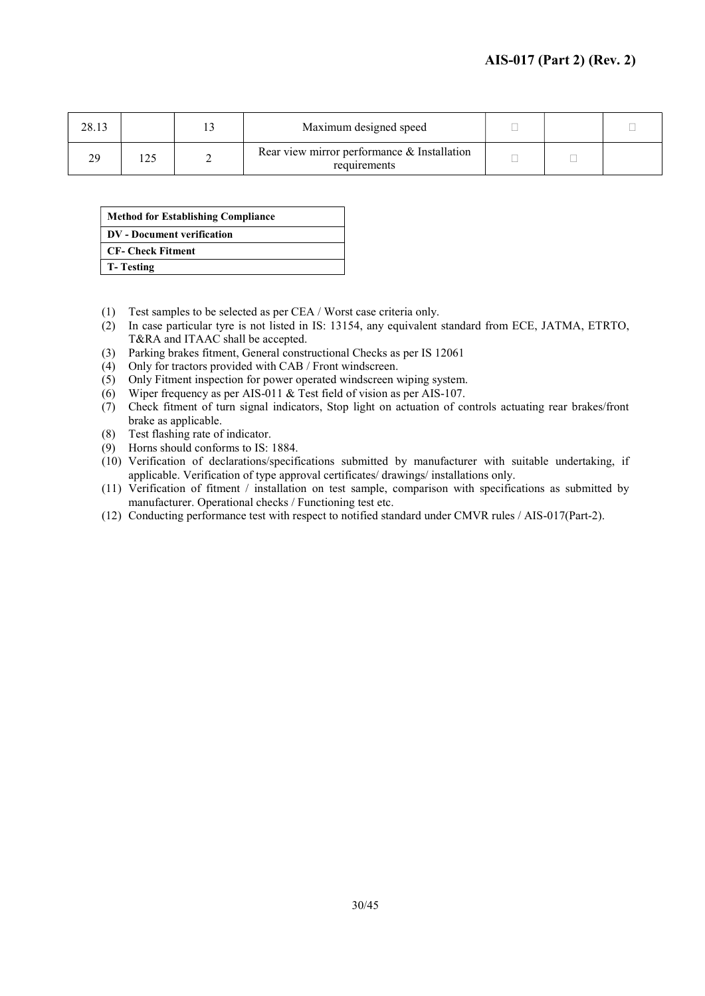| 28.13 |  | Maximum designed speed                                      |  |  |
|-------|--|-------------------------------------------------------------|--|--|
|       |  | Rear view mirror performance & Installation<br>requirements |  |  |

| <b>Method for Establishing Compliance</b> |  |  |  |  |
|-------------------------------------------|--|--|--|--|
| <b>DV</b> - Document verification         |  |  |  |  |
| <b>CF- Check Fitment</b>                  |  |  |  |  |
| <b>T</b> -Testing                         |  |  |  |  |

- (1) Test samples to be selected as per CEA / Worst case criteria only.
- (2) In case particular tyre is not listed in IS: 13154, any equivalent standard from ECE, JATMA, ETRTO, T&RA and ITAAC shall be accepted.
- (3) Parking brakes fitment, General constructional Checks as per IS 12061
- (4) Only for tractors provided with CAB / Front windscreen.
- (5) Only Fitment inspection for power operated windscreen wiping system.
- (6) Wiper frequency as per AIS-011 & Test field of vision as per AIS-107.
- (7) Check fitment of turn signal indicators, Stop light on actuation of controls actuating rear brakes/front brake as applicable.
- (8) Test flashing rate of indicator.
- (9) Horns should conforms to IS: 1884.
- (10) Verification of declarations/specifications submitted by manufacturer with suitable undertaking, if applicable. Verification of type approval certificates/ drawings/ installations only.
- (11) Verification of fitment / installation on test sample, comparison with specifications as submitted by manufacturer. Operational checks / Functioning test etc.
- (12) Conducting performance test with respect to notified standard under CMVR rules / AIS-017(Part-2).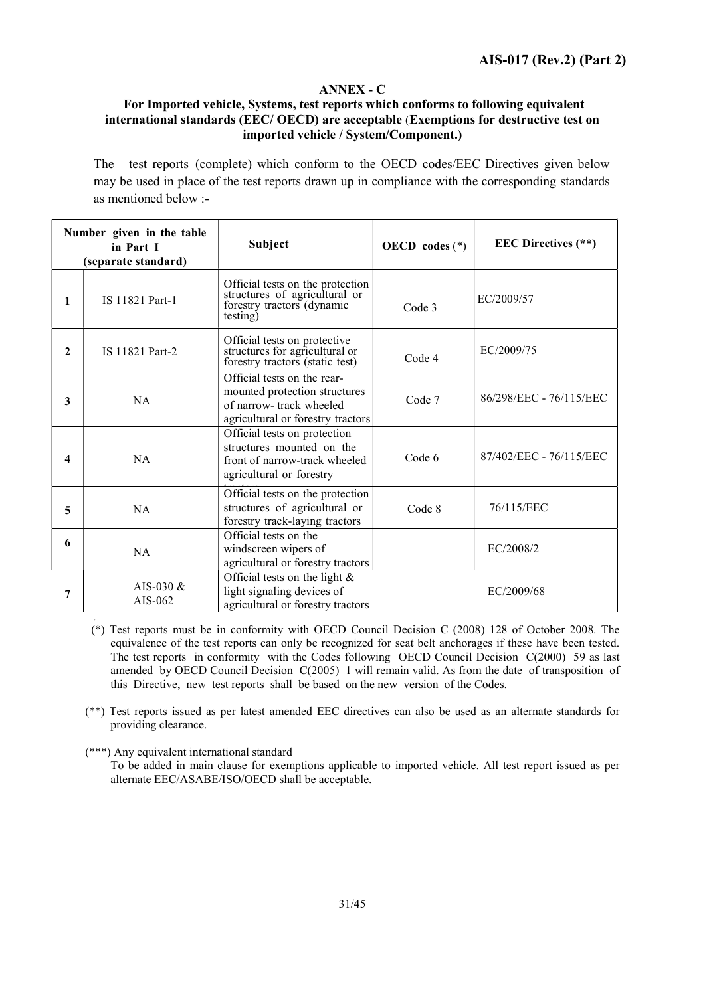### ANNEX - C

### For Imported vehicle, Systems, test reports which conforms to following equivalent international standards (EEC/ OECD) are acceptable (Exemptions for destructive test on imported vehicle / System/Component.)

The test reports (complete) which conform to the OECD codes/EEC Directives given below may be used in place of the test reports drawn up in compliance with the corresponding standards as mentioned below :-

|   | Number given in the table<br>in Part I<br>(separate standard) | Subject                                                                                                                      | OECD codes $(*)$ | <b>EEC Directives (**)</b> |
|---|---------------------------------------------------------------|------------------------------------------------------------------------------------------------------------------------------|------------------|----------------------------|
| 1 | IS 11821 Part-1                                               | Official tests on the protection<br>structures of agricultural or<br>forestry tractors (dynamic<br>testing)                  | Code 3           | EC/2009/57                 |
| 2 | IS 11821 Part-2                                               | Official tests on protective<br>structures for agricultural or<br>forestry tractors (static test)                            | Code 4           | EC/2009/75                 |
| 3 | <b>NA</b>                                                     | Official tests on the rear-<br>mounted protection structures<br>of narrow-track wheeled<br>agricultural or forestry tractors | Code 7           | 86/298/EEC - 76/115/EEC    |
| 4 | <b>NA</b>                                                     | Official tests on protection<br>structures mounted on the<br>front of narrow-track wheeled<br>agricultural or forestry       | Code 6           | 87/402/EEC - 76/115/EEC    |
| 5 | <b>NA</b>                                                     | Official tests on the protection<br>structures of agricultural or<br>forestry track-laying tractors                          | Code 8           | 76/115/EEC                 |
| 6 | <b>NA</b>                                                     | Official tests on the<br>windscreen wipers of<br>agricultural or forestry tractors                                           |                  | EC/2008/2                  |
| 7 | AIS-030 $&$<br>AIS-062                                        | Official tests on the light $&$<br>light signaling devices of<br>agricultural or forestry tractors                           |                  | EC/2009/68                 |

- (\*) Test reports must be in conformity with OECD Council Decision C (2008) 128 of October 2008. The equivalence of the test reports can only be recognized for seat belt anchorages if these have been tested. The test reports in conformity with the Codes following OECD Council Decision C(2000) 59 as last amended by OECD Council Decision C(2005) 1 will remain valid. As from the date of transposition of this Directive, new test reports shall be based on the new version of the Codes.
- (\*\*) Test reports issued as per latest amended EEC directives can also be used as an alternate standards for providing clearance.
- (\*\*\*) Any equivalent international standard
	- To be added in main clause for exemptions applicable to imported vehicle. All test report issued as per alternate EEC/ASABE/ISO/OECD shall be acceptable.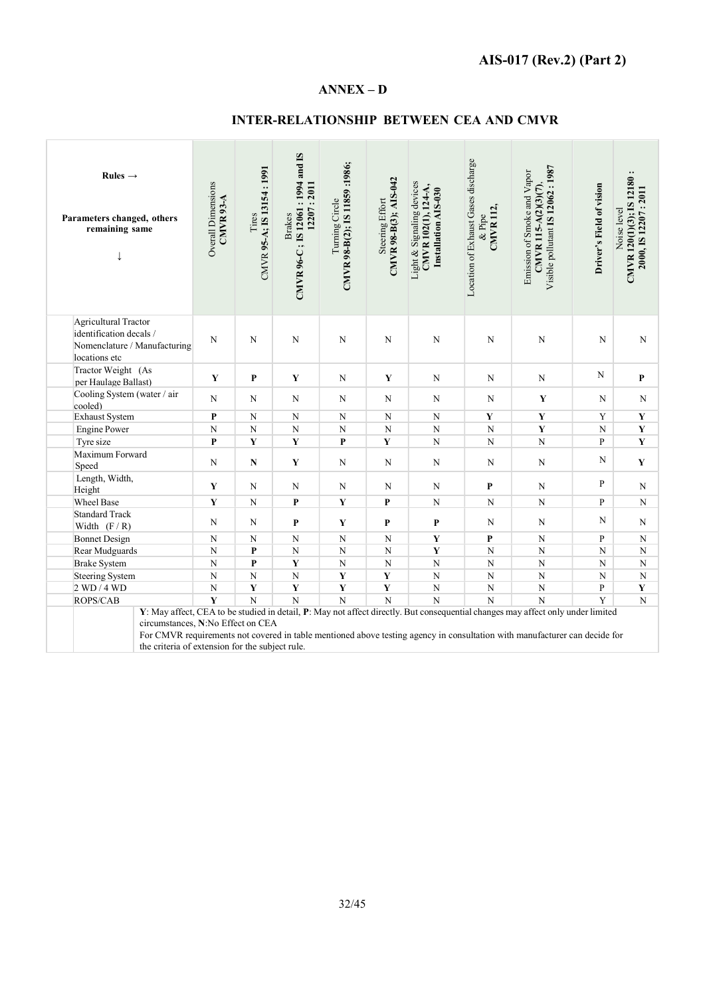# ANNEX – D

# INTER-RELATIONSHIP BETWEEN CEA AND CMVR

| Rules $\rightarrow$<br>Parameters changed, others<br>remaining same                              | Overall Dimensions<br>CMVR 93-A                                                                                                                                                                                                                                                                                                                       | CMVR 95-A; IS 13154:1991<br>Tires | CMVR 96-C; IS 12061: 1994 and IS<br>12207:2011<br><b>Brakes</b> | CMVR 98-B(2); IS 11859 :1986;<br>Turning Circle | CMVR 98-B(3); AIS-042<br>Steering Effort | Light & Signaling devices<br>CMVR 102(1), 124-A,<br>Installation AIS-030 | Location of Exhaust Gases discharge<br>$\begin{array}{c} \& \text{Pipe} \\ \text{CNNR}\, \text{112,} \end{array}$ | Visible pollutant IS 12062: 1987<br>Emission of Smoke and Vapor<br>CMVR 115-A(2)(3)(7), | Driver's Field of vision | CMVR 120(1)(3); IS 12180 :<br>2000, IS 12207 : 2011<br>Noise level |  |
|--------------------------------------------------------------------------------------------------|-------------------------------------------------------------------------------------------------------------------------------------------------------------------------------------------------------------------------------------------------------------------------------------------------------------------------------------------------------|-----------------------------------|-----------------------------------------------------------------|-------------------------------------------------|------------------------------------------|--------------------------------------------------------------------------|-------------------------------------------------------------------------------------------------------------------|-----------------------------------------------------------------------------------------|--------------------------|--------------------------------------------------------------------|--|
| Agricultural Tractor<br>identification decals /<br>Nomenclature / Manufacturing<br>locations etc | ${\bf N}$                                                                                                                                                                                                                                                                                                                                             | $\mathbf N$                       | $\mathbf N$                                                     | ${\bf N}$                                       | ${\bf N}$                                | $\mathbf N$                                                              | $\mathbf N$                                                                                                       | ${\bf N}$                                                                               | ${\bf N}$                | $\mathbf N$                                                        |  |
| Tractor Weight (As<br>per Haulage Ballast)                                                       | Y                                                                                                                                                                                                                                                                                                                                                     | P                                 | Y                                                               | N                                               | Y                                        | N                                                                        | N                                                                                                                 | $\mathbf N$                                                                             | $\mathbf N$              | P                                                                  |  |
| Cooling System (water / air<br>cooled)                                                           | N                                                                                                                                                                                                                                                                                                                                                     | N                                 | N                                                               | N                                               | N                                        | N                                                                        | N                                                                                                                 | Y                                                                                       | $\mathbf N$              | N                                                                  |  |
| <b>Exhaust System</b>                                                                            | P                                                                                                                                                                                                                                                                                                                                                     | N                                 | N                                                               | ${\bf N}$                                       | N                                        | N                                                                        | Y                                                                                                                 | $\mathbf Y$                                                                             | Y                        | $\mathbf{Y}$                                                       |  |
| <b>Engine Power</b>                                                                              | $\overline{N}$                                                                                                                                                                                                                                                                                                                                        | ${\bf N}$                         | ${\bf N}$                                                       | $\mathbf N$                                     | $_{\rm N}$                               | $\mathbf N$                                                              | $\mathbf N$                                                                                                       | $\mathbf Y$                                                                             | $\mathbf N$              | $\mathbf Y$                                                        |  |
| Tyre size                                                                                        | $\mathbf{P}$                                                                                                                                                                                                                                                                                                                                          | $\mathbf{Y}$                      | $\mathbf{Y}$                                                    | $\mathbf{P}$                                    | Y                                        | ${\bf N}$                                                                | ${\bf N}$                                                                                                         | ${\bf N}$                                                                               | $\mathbf{P}$             | $\mathbf{Y}$                                                       |  |
| Maximum Forward<br>Speed                                                                         | N                                                                                                                                                                                                                                                                                                                                                     | $\mathbf N$                       | Y                                                               | N                                               | N                                        | $\mathbf N$                                                              | N                                                                                                                 | ${\bf N}$                                                                               | ${\bf N}$                | $\mathbf Y$                                                        |  |
| Length, Width,<br>Height                                                                         | Y                                                                                                                                                                                                                                                                                                                                                     | N                                 | N                                                               | ${\bf N}$                                       | N                                        | N                                                                        | P                                                                                                                 | ${\bf N}$                                                                               | $\, {\bf P}$             | $\mathbf N$                                                        |  |
| Wheel Base                                                                                       | Y                                                                                                                                                                                                                                                                                                                                                     | N                                 | P                                                               | Y                                               | P                                        | N                                                                        | N                                                                                                                 | $\mathbf N$                                                                             | $\mathbf{P}$             | N                                                                  |  |
| <b>Standard Track</b><br>Width $(F/R)$                                                           | N                                                                                                                                                                                                                                                                                                                                                     | N                                 | P                                                               | Y                                               | P                                        | $\mathbf{P}$                                                             | N                                                                                                                 | ${\bf N}$                                                                               | ${\bf N}$                | $\mathbf N$                                                        |  |
| <b>Bonnet Design</b>                                                                             | N                                                                                                                                                                                                                                                                                                                                                     | N                                 | N                                                               | $\mathbf N$                                     | $\mathbf N$                              | Y                                                                        | P                                                                                                                 | ${\bf N}$                                                                               | $\mathbf{P}$             | N                                                                  |  |
| Rear Mudguards                                                                                   | $_{\rm N}$                                                                                                                                                                                                                                                                                                                                            | P                                 | N                                                               | $\mathbf N$                                     | $\mathbf N$                              | Y                                                                        | $_{\rm N}$                                                                                                        | $\mathbf N$                                                                             | $_{\rm N}$               | $\mathbf N$                                                        |  |
| <b>Brake System</b>                                                                              | N                                                                                                                                                                                                                                                                                                                                                     | P                                 | Y                                                               | N                                               | $\mathbf N$                              | N                                                                        | $_{\rm N}$                                                                                                        | ${\bf N}$                                                                               | $\mathbf N$              | $\mathbf N$                                                        |  |
| <b>Steering System</b>                                                                           | $\mathbf N$                                                                                                                                                                                                                                                                                                                                           | $\mathbf N$                       | N                                                               | Y                                               | Y                                        | $\mathbf N$                                                              | $\mathbf N$                                                                                                       | ${\bf N}$                                                                               | $\mathbf N$              | N                                                                  |  |
| 2 WD/4 WD                                                                                        | $_{\rm N}$                                                                                                                                                                                                                                                                                                                                            | Y                                 | Y                                                               | Y                                               | $\mathbf Y$                              | $_{\rm N}$                                                               | $_{\rm N}$                                                                                                        | ${\bf N}$                                                                               | $\mathbf{p}$             | $\mathbf{Y}$                                                       |  |
| ROPS/CAB                                                                                         | Y                                                                                                                                                                                                                                                                                                                                                     | $\mathbf N$                       | N.                                                              | $\mathbf N$                                     | $\overline{N}$                           | $\mathbf N$                                                              | $\overline{N}$                                                                                                    | $\overline{N}$                                                                          | $\mathbf Y$              | N                                                                  |  |
|                                                                                                  | Y: May affect, CEA to be studied in detail, P: May not affect directly. But consequential changes may affect only under limited<br>circumstances, N:No Effect on CEA<br>For CMVR requirements not covered in table mentioned above testing agency in consultation with manufacturer can decide for<br>the criteria of extension for the subject rule. |                                   |                                                                 |                                                 |                                          |                                                                          |                                                                                                                   |                                                                                         |                          |                                                                    |  |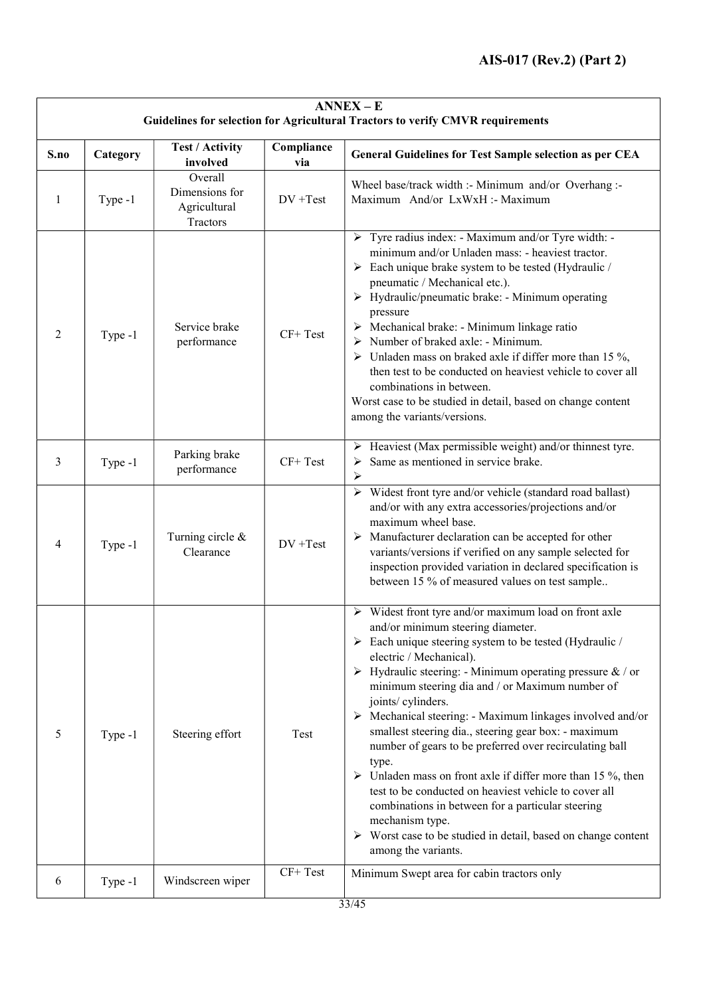|                | $ANNEX - E$<br>Guidelines for selection for Agricultural Tractors to verify CMVR requirements |                                                       |                   |                                                                                                                                                                                                                                                                                                                                                                                                                                                                                                                                                                                                                                                                                                                                                                                                                                                                                    |  |  |  |  |
|----------------|-----------------------------------------------------------------------------------------------|-------------------------------------------------------|-------------------|------------------------------------------------------------------------------------------------------------------------------------------------------------------------------------------------------------------------------------------------------------------------------------------------------------------------------------------------------------------------------------------------------------------------------------------------------------------------------------------------------------------------------------------------------------------------------------------------------------------------------------------------------------------------------------------------------------------------------------------------------------------------------------------------------------------------------------------------------------------------------------|--|--|--|--|
| S.no           | Category                                                                                      | <b>Test / Activity</b><br>involved                    | Compliance<br>via | <b>General Guidelines for Test Sample selection as per CEA</b>                                                                                                                                                                                                                                                                                                                                                                                                                                                                                                                                                                                                                                                                                                                                                                                                                     |  |  |  |  |
| 1              | Type -1                                                                                       | Overall<br>Dimensions for<br>Agricultural<br>Tractors | $DV + Test$       | Wheel base/track width :- Minimum and/or Overhang :-<br>Maximum And/or LxWxH :- Maximum                                                                                                                                                                                                                                                                                                                                                                                                                                                                                                                                                                                                                                                                                                                                                                                            |  |  |  |  |
| $\overline{2}$ | Type -1                                                                                       | Service brake<br>performance                          | CF+ Test          | > Tyre radius index: - Maximum and/or Tyre width: -<br>minimum and/or Unladen mass: - heaviest tractor.<br>$\triangleright$ Each unique brake system to be tested (Hydraulic /<br>pneumatic / Mechanical etc.).<br>$\triangleright$ Hydraulic/pneumatic brake: - Minimum operating<br>pressure<br>$\triangleright$ Mechanical brake: - Minimum linkage ratio<br>Number of braked axle: - Minimum.<br>➤<br>$\triangleright$ Unladen mass on braked axle if differ more than 15 %,<br>then test to be conducted on heaviest vehicle to cover all<br>combinations in between.<br>Worst case to be studied in detail, based on change content<br>among the variants/versions.                                                                                                                                                                                                          |  |  |  |  |
| $\overline{3}$ | Type -1                                                                                       | Parking brake<br>performance                          | $CF+Test$         | $\triangleright$ Heaviest (Max permissible weight) and/or thinnest tyre.<br>Same as mentioned in service brake.<br>➤<br>➤                                                                                                                                                                                                                                                                                                                                                                                                                                                                                                                                                                                                                                                                                                                                                          |  |  |  |  |
| $\overline{4}$ | Type -1                                                                                       | Turning circle &<br>Clearance                         | $DV + Test$       | Widest front tyre and/or vehicle (standard road ballast)<br>➤<br>and/or with any extra accessories/projections and/or<br>maximum wheel base.<br>$\triangleright$ Manufacturer declaration can be accepted for other<br>variants/versions if verified on any sample selected for<br>inspection provided variation in declared specification is<br>between 15 % of measured values on test sample                                                                                                                                                                                                                                                                                                                                                                                                                                                                                    |  |  |  |  |
| 5              | Type -1                                                                                       | Steering effort                                       | Test              | $\triangleright$ Widest front tyre and/or maximum load on front axle<br>and/or minimum steering diameter.<br>> Each unique steering system to be tested (Hydraulic /<br>electric / Mechanical).<br>$\triangleright$ Hydraulic steering: - Minimum operating pressure & / or<br>minimum steering dia and / or Maximum number of<br>joints/ cylinders.<br>$\triangleright$ Mechanical steering: - Maximum linkages involved and/or<br>smallest steering dia., steering gear box: - maximum<br>number of gears to be preferred over recirculating ball<br>type.<br>$\triangleright$ Unladen mass on front axle if differ more than 15 %, then<br>test to be conducted on heaviest vehicle to cover all<br>combinations in between for a particular steering<br>mechanism type.<br>$\triangleright$ Worst case to be studied in detail, based on change content<br>among the variants. |  |  |  |  |
| 6              | Type -1                                                                                       | Windscreen wiper                                      | $CF+Test$         | Minimum Swept area for cabin tractors only                                                                                                                                                                                                                                                                                                                                                                                                                                                                                                                                                                                                                                                                                                                                                                                                                                         |  |  |  |  |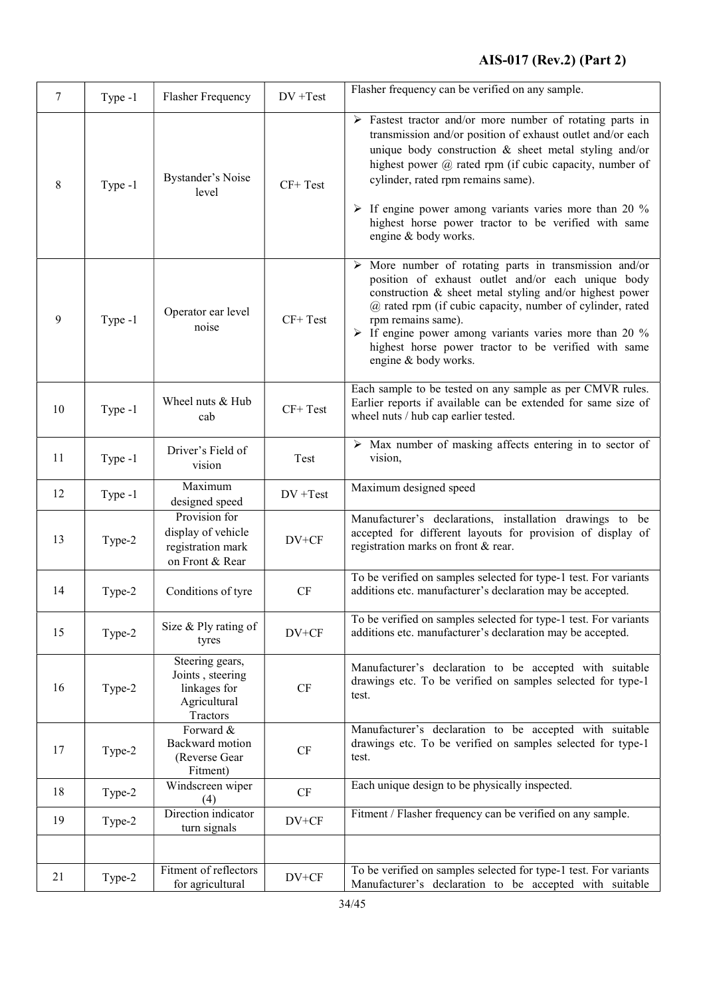# AIS-017 (Rev.2) (Part 2)

| 7  | Type -1 | Flasher Frequency                                                               | $DV + Test$ | Flasher frequency can be verified on any sample.                                                                                                                                                                                                                                                                                                                                                                                                             |
|----|---------|---------------------------------------------------------------------------------|-------------|--------------------------------------------------------------------------------------------------------------------------------------------------------------------------------------------------------------------------------------------------------------------------------------------------------------------------------------------------------------------------------------------------------------------------------------------------------------|
| 8  | Type -1 | Bystander's Noise<br>level                                                      | CF+ Test    | $\triangleright$ Fastest tractor and/or more number of rotating parts in<br>transmission and/or position of exhaust outlet and/or each<br>unique body construction $\&$ sheet metal styling and/or<br>highest power @ rated rpm (if cubic capacity, number of<br>cylinder, rated rpm remains same).<br>$\triangleright$ If engine power among variants varies more than 20 %<br>highest horse power tractor to be verified with same<br>engine & body works. |
| 9  | Type -1 | Operator ear level<br>noise                                                     | $CF+Test$   | $\triangleright$ More number of rotating parts in transmission and/or<br>position of exhaust outlet and/or each unique body<br>construction & sheet metal styling and/or highest power<br>@ rated rpm (if cubic capacity, number of cylinder, rated<br>rpm remains same).<br>$\triangleright$ If engine power among variants varies more than 20 %<br>highest horse power tractor to be verified with same<br>engine & body works.                           |
| 10 | Type -1 | Wheel nuts & Hub<br>cab                                                         | CF+ Test    | Each sample to be tested on any sample as per CMVR rules.<br>Earlier reports if available can be extended for same size of<br>wheel nuts / hub cap earlier tested.                                                                                                                                                                                                                                                                                           |
| 11 | Type -1 | Driver's Field of<br>vision                                                     | Test        | $\triangleright$ Max number of masking affects entering in to sector of<br>vision,                                                                                                                                                                                                                                                                                                                                                                           |
| 12 | Type -1 | Maximum<br>designed speed                                                       | $DV + Test$ | Maximum designed speed                                                                                                                                                                                                                                                                                                                                                                                                                                       |
| 13 | Type-2  | Provision for<br>display of vehicle<br>registration mark<br>on Front & Rear     | DV+CF       | Manufacturer's declarations, installation drawings to be<br>accepted for different layouts for provision of display of<br>registration marks on front & rear.                                                                                                                                                                                                                                                                                                |
| 14 | Type-2  | Conditions of tyre                                                              | CF          | To be verified on samples selected for type-1 test. For variants<br>additions etc. manufacturer's declaration may be accepted.                                                                                                                                                                                                                                                                                                                               |
| 15 | Type-2  | Size & Ply rating of<br>tyres                                                   | DV+CF       | To be verified on samples selected for type-1 test. For variants<br>additions etc. manufacturer's declaration may be accepted.                                                                                                                                                                                                                                                                                                                               |
| 16 | Type-2  | Steering gears,<br>Joints, steering<br>linkages for<br>Agricultural<br>Tractors | CF          | Manufacturer's declaration to be accepted with suitable<br>drawings etc. To be verified on samples selected for type-1<br>test.                                                                                                                                                                                                                                                                                                                              |
| 17 | Type-2  | Forward &<br>Backward motion<br>(Reverse Gear<br>Fitment)                       | CF          | Manufacturer's declaration to be accepted with suitable<br>drawings etc. To be verified on samples selected for type-1<br>test.                                                                                                                                                                                                                                                                                                                              |
| 18 | Type-2  | Windscreen wiper<br>(4)                                                         | CF          | Each unique design to be physically inspected.                                                                                                                                                                                                                                                                                                                                                                                                               |
| 19 | Type-2  | Direction indicator<br>turn signals                                             | $DV + CF$   | Fitment / Flasher frequency can be verified on any sample.                                                                                                                                                                                                                                                                                                                                                                                                   |
|    |         |                                                                                 |             |                                                                                                                                                                                                                                                                                                                                                                                                                                                              |
| 21 | Type-2  | Fitment of reflectors<br>for agricultural                                       | $DV + CF$   | To be verified on samples selected for type-1 test. For variants<br>Manufacturer's declaration to be accepted with suitable                                                                                                                                                                                                                                                                                                                                  |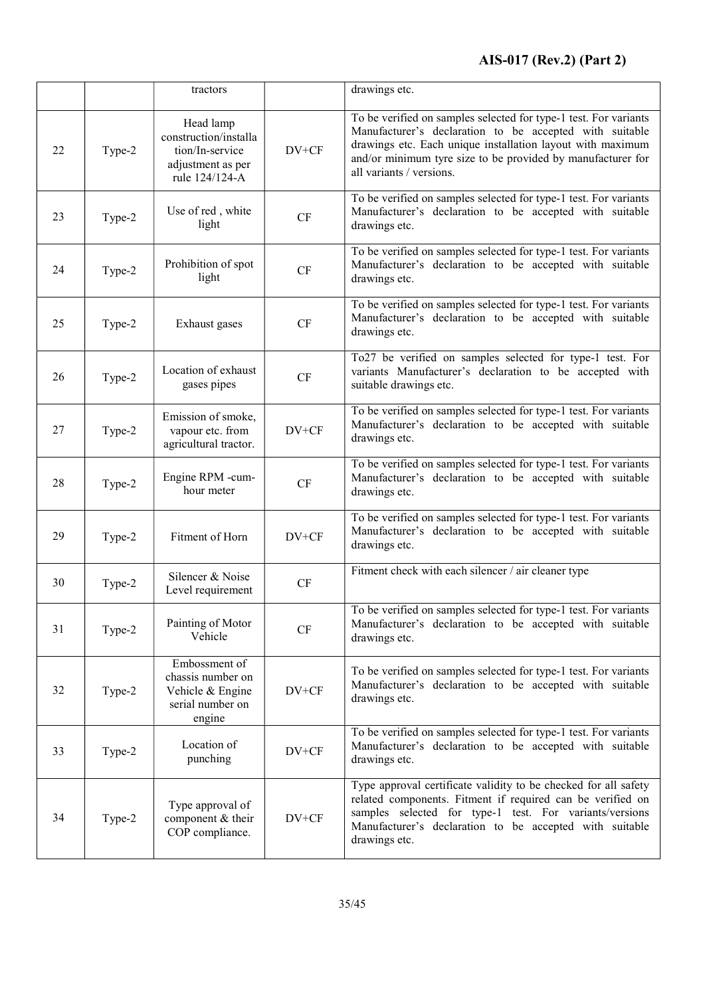|    |        | tractors                                                                                     |           | drawings etc.                                                                                                                                                                                                                                                                        |
|----|--------|----------------------------------------------------------------------------------------------|-----------|--------------------------------------------------------------------------------------------------------------------------------------------------------------------------------------------------------------------------------------------------------------------------------------|
| 22 | Type-2 | Head lamp<br>construction/installa<br>tion/In-service<br>adjustment as per<br>rule 124/124-A | $DV+CF$   | To be verified on samples selected for type-1 test. For variants<br>Manufacturer's declaration to be accepted with suitable<br>drawings etc. Each unique installation layout with maximum<br>and/or minimum tyre size to be provided by manufacturer for<br>all variants / versions. |
| 23 | Type-2 | Use of red, white<br>light                                                                   | <b>CF</b> | To be verified on samples selected for type-1 test. For variants<br>Manufacturer's declaration to be accepted with suitable<br>drawings etc.                                                                                                                                         |
| 24 | Type-2 | Prohibition of spot<br>light                                                                 | CF        | To be verified on samples selected for type-1 test. For variants<br>Manufacturer's declaration to be accepted with suitable<br>drawings etc.                                                                                                                                         |
| 25 | Type-2 | Exhaust gases                                                                                | CF        | To be verified on samples selected for type-1 test. For variants<br>Manufacturer's declaration to be accepted with suitable<br>drawings etc.                                                                                                                                         |
| 26 | Type-2 | Location of exhaust<br>gases pipes                                                           | CF        | To27 be verified on samples selected for type-1 test. For<br>variants Manufacturer's declaration to be accepted with<br>suitable drawings etc.                                                                                                                                       |
| 27 | Type-2 | Emission of smoke,<br>vapour etc. from<br>agricultural tractor.                              | $DV + CF$ | To be verified on samples selected for type-1 test. For variants<br>Manufacturer's declaration to be accepted with suitable<br>drawings etc.                                                                                                                                         |
| 28 | Type-2 | Engine RPM -cum-<br>hour meter                                                               | CF        | To be verified on samples selected for type-1 test. For variants<br>Manufacturer's declaration to be accepted with suitable<br>drawings etc.                                                                                                                                         |
| 29 | Type-2 | Fitment of Horn                                                                              | $DV + CF$ | To be verified on samples selected for type-1 test. For variants<br>Manufacturer's declaration to be accepted with suitable<br>drawings etc.                                                                                                                                         |
| 30 | Type-2 | Silencer & Noise<br>Level requirement                                                        | CF        | Fitment check with each silencer / air cleaner type                                                                                                                                                                                                                                  |
| 31 | Type-2 | Painting of Motor<br>Vehicle                                                                 | CF        | To be verified on samples selected for type-1 test. For variants<br>Manufacturer's declaration to be accepted with suitable<br>drawings etc.                                                                                                                                         |
| 32 | Type-2 | Embossment of<br>chassis number on<br>Vehicle & Engine<br>serial number on<br>engine         | $DV+CF$   | To be verified on samples selected for type-1 test. For variants<br>Manufacturer's declaration to be accepted with suitable<br>drawings etc.                                                                                                                                         |
| 33 | Type-2 | Location of<br>punching                                                                      | $DV+CF$   | To be verified on samples selected for type-1 test. For variants<br>Manufacturer's declaration to be accepted with suitable<br>drawings etc.                                                                                                                                         |
| 34 | Type-2 | Type approval of<br>component & their<br>COP compliance.                                     | $DV+CF$   | Type approval certificate validity to be checked for all safety<br>related components. Fitment if required can be verified on<br>samples selected for type-1 test. For variants/versions<br>Manufacturer's declaration to be accepted with suitable<br>drawings etc.                 |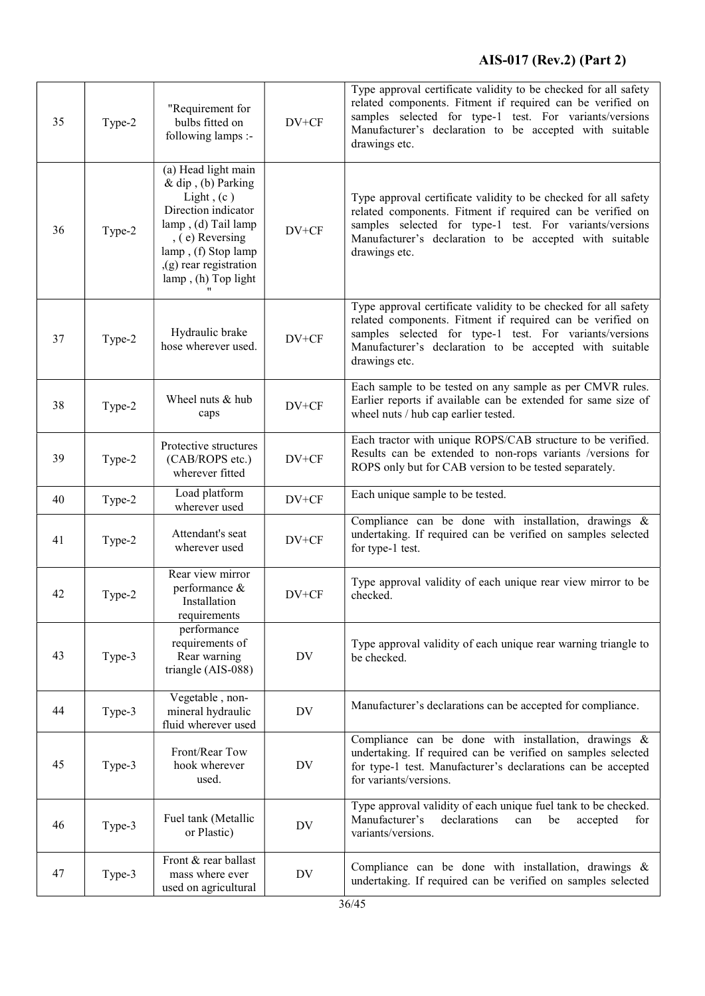| 35 | Type-2 | "Requirement for<br>bulbs fitted on<br>following lamps :-                                                                                                                                          | $DV + CF$ | Type approval certificate validity to be checked for all safety<br>related components. Fitment if required can be verified on<br>samples selected for type-1 test. For variants/versions<br>Manufacturer's declaration to be accepted with suitable<br>drawings etc. |
|----|--------|----------------------------------------------------------------------------------------------------------------------------------------------------------------------------------------------------|-----------|----------------------------------------------------------------------------------------------------------------------------------------------------------------------------------------------------------------------------------------------------------------------|
| 36 | Type-2 | (a) Head light main<br>& dip, (b) Parking<br>Light, $(c)$<br>Direction indicator<br>lamp, (d) Tail lamp<br>, (e) Reversing<br>lamp, (f) Stop lamp<br>,(g) rear registration<br>lamp, (h) Top light | DV+CF     | Type approval certificate validity to be checked for all safety<br>related components. Fitment if required can be verified on<br>samples selected for type-1 test. For variants/versions<br>Manufacturer's declaration to be accepted with suitable<br>drawings etc. |
| 37 | Type-2 | Hydraulic brake<br>hose wherever used.                                                                                                                                                             | $DV+CF$   | Type approval certificate validity to be checked for all safety<br>related components. Fitment if required can be verified on<br>samples selected for type-1 test. For variants/versions<br>Manufacturer's declaration to be accepted with suitable<br>drawings etc. |
| 38 | Type-2 | Wheel nuts & hub<br>caps                                                                                                                                                                           | DV+CF     | Each sample to be tested on any sample as per CMVR rules.<br>Earlier reports if available can be extended for same size of<br>wheel nuts / hub cap earlier tested.                                                                                                   |
| 39 | Type-2 | Protective structures<br>(CAB/ROPS etc.)<br>wherever fitted                                                                                                                                        | $DV+CF$   | Each tractor with unique ROPS/CAB structure to be verified.<br>Results can be extended to non-rops variants /versions for<br>ROPS only but for CAB version to be tested separately.                                                                                  |
| 40 | Type-2 | Load platform<br>wherever used                                                                                                                                                                     | DV+CF     | Each unique sample to be tested.                                                                                                                                                                                                                                     |
| 41 | Type-2 | Attendant's seat<br>wherever used                                                                                                                                                                  | DV+CF     | Compliance can be done with installation, drawings $\&$<br>undertaking. If required can be verified on samples selected<br>for type-1 test.                                                                                                                          |
| 42 | Type-2 | Rear view mirror<br>performance &<br>Installation<br>requirements                                                                                                                                  | $DY+CF$   | Type approval validity of each unique rear view mirror to be<br>checked.                                                                                                                                                                                             |
| 43 | Type-3 | performance<br>requirements of<br>Rear warning<br>triangle (AIS-088)                                                                                                                               | DV        | Type approval validity of each unique rear warning triangle to<br>be checked.                                                                                                                                                                                        |
| 44 | Type-3 | Vegetable, non-<br>mineral hydraulic<br>fluid wherever used                                                                                                                                        | DV        | Manufacturer's declarations can be accepted for compliance.                                                                                                                                                                                                          |
| 45 | Type-3 | Front/Rear Tow<br>hook wherever<br>used.                                                                                                                                                           | DV        | Compliance can be done with installation, drawings &<br>undertaking. If required can be verified on samples selected<br>for type-1 test. Manufacturer's declarations can be accepted<br>for variants/versions.                                                       |
| 46 | Type-3 | Fuel tank (Metallic<br>or Plastic)                                                                                                                                                                 | DV        | Type approval validity of each unique fuel tank to be checked.<br>Manufacturer's<br>declarations<br>can<br>be<br>accepted<br>for<br>variants/versions.                                                                                                               |
| 47 | Type-3 | Front & rear ballast<br>mass where ever<br>used on agricultural                                                                                                                                    | DV        | Compliance can be done with installation, drawings $\&$<br>undertaking. If required can be verified on samples selected                                                                                                                                              |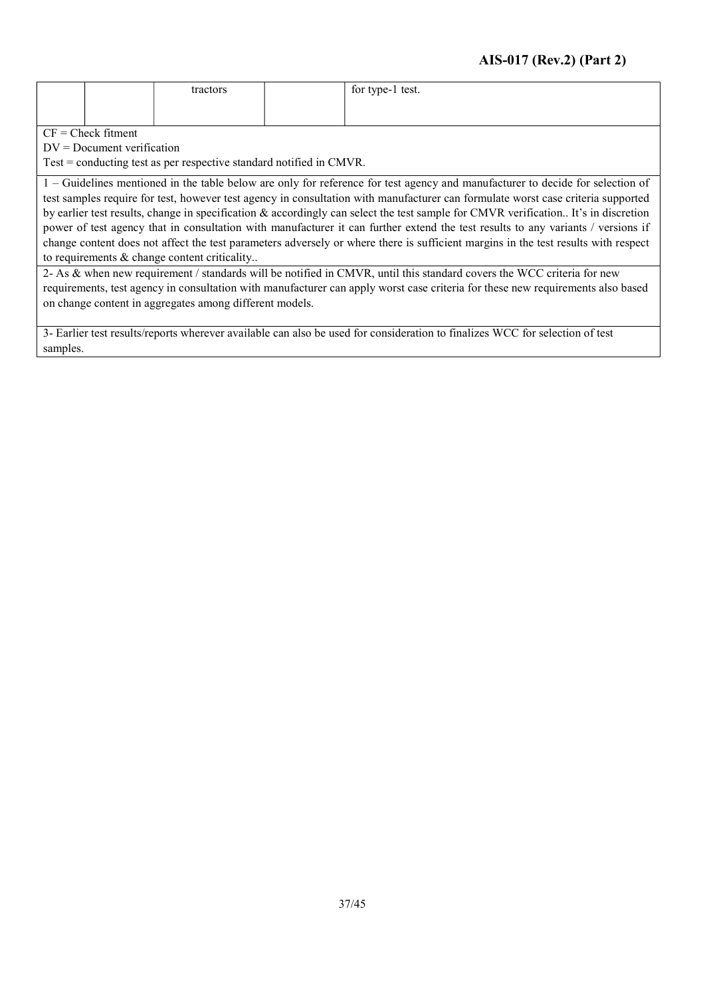# AIS-017 (Rev.2) (Part 2)

|  | tractors | $\sim$<br>for type-1 test. |
|--|----------|----------------------------|
|  |          |                            |
|  |          |                            |
|  |          |                            |

 $CF = Check$  fitment

DV = Document verification

Test = conducting test as per respective standard notified in CMVR.

1 – Guidelines mentioned in the table below are only for reference for test agency and manufacturer to decide for selection of test samples require for test, however test agency in consultation with manufacturer can formulate worst case criteria supported by earlier test results, change in specification & accordingly can select the test sample for CMVR verification.. It's in discretion power of test agency that in consultation with manufacturer it can further extend the test results to any variants / versions if change content does not affect the test parameters adversely or where there is sufficient margins in the test results with respect to requirements & change content criticality..

2- As & when new requirement / standards will be notified in CMVR, until this standard covers the WCC criteria for new requirements, test agency in consultation with manufacturer can apply worst case criteria for these new requirements also based on change content in aggregates among different models.

3- Earlier test results/reports wherever available can also be used for consideration to finalizes WCC for selection of test samples.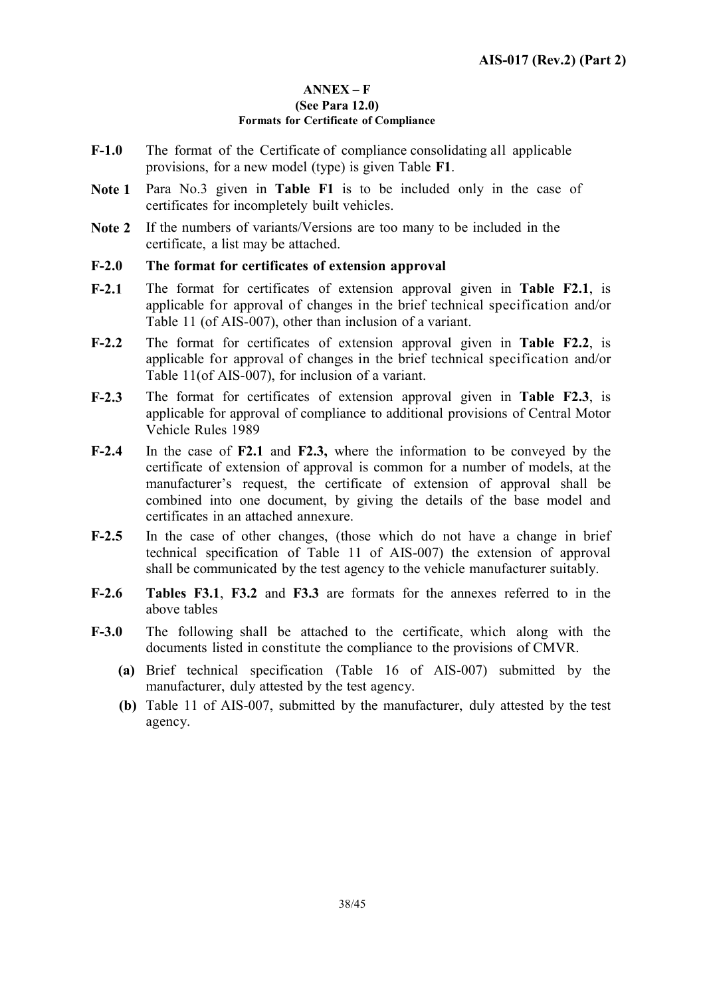### ANNEX – F (See Para 12.0) Formats for Certificate of Compliance

- F-1.0 The format of the Certificate of compliance consolidating all applicable provisions, for a new model (type) is given Table F1.
- Note 1 Para No.3 given in Table F1 is to be included only in the case of certificates for incompletely built vehicles.
- Note 2 If the numbers of variants/Versions are too many to be included in the certificate, a list may be attached.

# F-2.0 The format for certificates of extension approval

- F-2.1 The format for certificates of extension approval given in Table F2.1, is applicable for approval of changes in the brief technical specification and/or Table 11 (of AIS-007), other than inclusion of a variant.
- F-2.2 The format for certificates of extension approval given in Table F2.2, is applicable for approval of changes in the brief technical specification and/or Table 11(of AIS-007), for inclusion of a variant.
- F-2.3 The format for certificates of extension approval given in Table F2.3, is applicable for approval of compliance to additional provisions of Central Motor Vehicle Rules 1989
- F-2.4 In the case of F2.1 and F2.3, where the information to be conveyed by the certificate of extension of approval is common for a number of models, at the manufacturer's request, the certificate of extension of approval shall be combined into one document, by giving the details of the base model and certificates in an attached annexure.
- F-2.5 In the case of other changes, (those which do not have a change in brief technical specification of Table 11 of AIS-007) the extension of approval shall be communicated by the test agency to the vehicle manufacturer suitably.
- F-2.6 Tables F3.1, F3.2 and F3.3 are formats for the annexes referred to in the above tables
- F-3.0 The following shall be attached to the certificate, which along with the documents listed in constitute the compliance to the provisions of CMVR.
	- (a) Brief technical specification (Table 16 of AIS-007) submitted by the manufacturer, duly attested by the test agency.
	- (b) Table 11 of AIS-007, submitted by the manufacturer, duly attested by the test agency.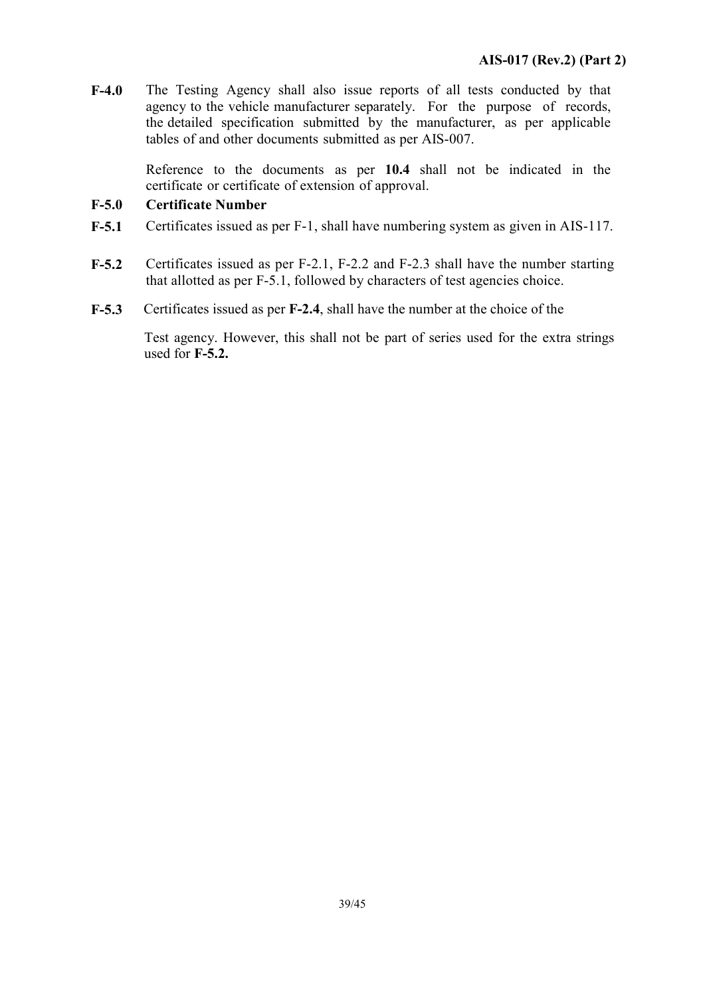F-4.0 The Testing Agency shall also issue reports of all tests conducted by that agency to the vehicle manufacturer separately. For the purpose of records, the detailed specification submitted by the manufacturer, as per applicable tables of and other documents submitted as per AIS-007.

> Reference to the documents as per 10.4 shall not be indicated in the certificate or certificate of extension of approval.

# F-5.0 Certificate Number

- F-5.1 Certificates issued as per F-1, shall have numbering system as given in AIS-117.
- F-5.2 Certificates issued as per F-2.1, F-2.2 and F-2.3 shall have the number starting that allotted as per F-5.1, followed by characters of test agencies choice.
- F-5.3 Certificates issued as per F-2.4, shall have the number at the choice of the

Test agency. However, this shall not be part of series used for the extra strings used for F-5.2.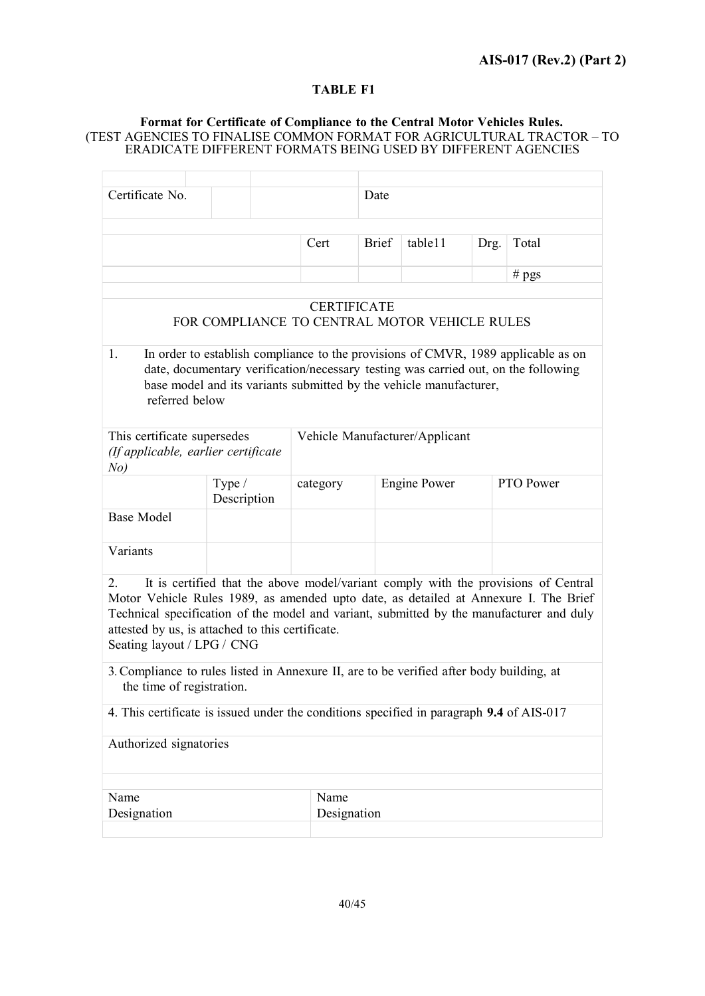# TABLE F1

#### Format for Certificate of Compliance to the Central Motor Vehicles Rules. (TEST AGENCIES TO FINALISE COMMON FORMAT FOR AGRICULTURAL TRACTOR – TO ERADICATE DIFFERENT FORMATS BEING USED BY DIFFERENT AGENCIES

| Certificate No.                                                                                                                                                                                                                                                                                                                                                                                   |                                                                                                                                                                                                                                               |             | Date               |                     |      |           |
|---------------------------------------------------------------------------------------------------------------------------------------------------------------------------------------------------------------------------------------------------------------------------------------------------------------------------------------------------------------------------------------------------|-----------------------------------------------------------------------------------------------------------------------------------------------------------------------------------------------------------------------------------------------|-------------|--------------------|---------------------|------|-----------|
|                                                                                                                                                                                                                                                                                                                                                                                                   |                                                                                                                                                                                                                                               |             | <b>Brief</b>       | table11             |      |           |
|                                                                                                                                                                                                                                                                                                                                                                                                   |                                                                                                                                                                                                                                               | Cert        |                    |                     | Drg. | Total     |
|                                                                                                                                                                                                                                                                                                                                                                                                   |                                                                                                                                                                                                                                               |             |                    |                     |      | # $pgs$   |
|                                                                                                                                                                                                                                                                                                                                                                                                   | FOR COMPLIANCE TO CENTRAL MOTOR VEHICLE RULES                                                                                                                                                                                                 |             | <b>CERTIFICATE</b> |                     |      |           |
| 1.<br>referred below                                                                                                                                                                                                                                                                                                                                                                              | In order to establish compliance to the provisions of CMVR, 1989 applicable as on<br>date, documentary verification/necessary testing was carried out, on the following<br>base model and its variants submitted by the vehicle manufacturer, |             |                    |                     |      |           |
| This certificate supersedes<br>(If applicable, earlier certificate<br>No)                                                                                                                                                                                                                                                                                                                         | Vehicle Manufacturer/Applicant                                                                                                                                                                                                                |             |                    |                     |      |           |
|                                                                                                                                                                                                                                                                                                                                                                                                   | Type /<br>Description                                                                                                                                                                                                                         | category    |                    | <b>Engine Power</b> |      | PTO Power |
| <b>Base Model</b>                                                                                                                                                                                                                                                                                                                                                                                 |                                                                                                                                                                                                                                               |             |                    |                     |      |           |
| Variants                                                                                                                                                                                                                                                                                                                                                                                          |                                                                                                                                                                                                                                               |             |                    |                     |      |           |
| 2.<br>Motor Vehicle Rules 1989, as amended upto date, as detailed at Annexure I. The Brief<br>Technical specification of the model and variant, submitted by the manufacturer and duly<br>attested by us, is attached to this certificate.<br>Seating layout / LPG / CNG<br>3. Compliance to rules listed in Annexure II, are to be verified after body building, at<br>the time of registration. | It is certified that the above model/variant comply with the provisions of Central                                                                                                                                                            |             |                    |                     |      |           |
|                                                                                                                                                                                                                                                                                                                                                                                                   |                                                                                                                                                                                                                                               |             |                    |                     |      |           |
| 4. This certificate is issued under the conditions specified in paragraph 9.4 of AIS-017                                                                                                                                                                                                                                                                                                          |                                                                                                                                                                                                                                               |             |                    |                     |      |           |
| Authorized signatories                                                                                                                                                                                                                                                                                                                                                                            |                                                                                                                                                                                                                                               |             |                    |                     |      |           |
| Name                                                                                                                                                                                                                                                                                                                                                                                              |                                                                                                                                                                                                                                               | Name        |                    |                     |      |           |
| Designation                                                                                                                                                                                                                                                                                                                                                                                       |                                                                                                                                                                                                                                               | Designation |                    |                     |      |           |
|                                                                                                                                                                                                                                                                                                                                                                                                   |                                                                                                                                                                                                                                               |             |                    |                     |      |           |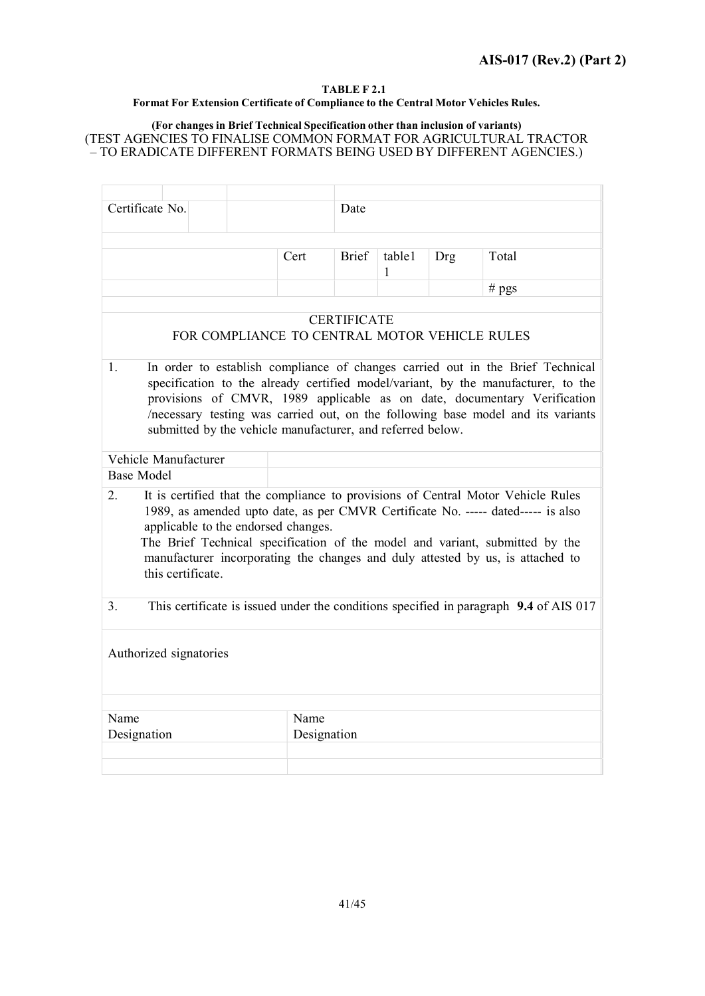#### TABLE F 2.1

#### Format For Extension Certificate of Compliance to the Central Motor Vehicles Rules.

#### (For changes in Brief Technical Specification other than inclusion of variants) (TEST AGENCIES TO FINALISE COMMON FORMAT FOR AGRICULTURAL TRACTOR – TO ERADICATE DIFFERENT FORMATS BEING USED BY DIFFERENT AGENCIES.)

| Certificate No.                           |                                                                                                                                                                                                                                                                                                                                                                                                    |  |  |  | Date                                                       |                    |             |            |                                                                                                                                                                                                                                                   |  |  |
|-------------------------------------------|----------------------------------------------------------------------------------------------------------------------------------------------------------------------------------------------------------------------------------------------------------------------------------------------------------------------------------------------------------------------------------------------------|--|--|--|------------------------------------------------------------|--------------------|-------------|------------|---------------------------------------------------------------------------------------------------------------------------------------------------------------------------------------------------------------------------------------------------|--|--|
|                                           |                                                                                                                                                                                                                                                                                                                                                                                                    |  |  |  | Cert                                                       | <b>Brief</b>       | table1<br>1 | <b>Drg</b> | Total                                                                                                                                                                                                                                             |  |  |
|                                           |                                                                                                                                                                                                                                                                                                                                                                                                    |  |  |  |                                                            |                    |             |            | # $pgs$                                                                                                                                                                                                                                           |  |  |
| 1.                                        |                                                                                                                                                                                                                                                                                                                                                                                                    |  |  |  |                                                            | <b>CERTIFICATE</b> |             |            | FOR COMPLIANCE TO CENTRAL MOTOR VEHICLE RULES<br>In order to establish compliance of changes carried out in the Brief Technical                                                                                                                   |  |  |
|                                           |                                                                                                                                                                                                                                                                                                                                                                                                    |  |  |  | submitted by the vehicle manufacturer, and referred below. |                    |             |            | specification to the already certified model/variant, by the manufacturer, to the<br>provisions of CMVR, 1989 applicable as on date, documentary Verification<br>/necessary testing was carried out, on the following base model and its variants |  |  |
| Vehicle Manufacturer<br><b>Base Model</b> |                                                                                                                                                                                                                                                                                                                                                                                                    |  |  |  |                                                            |                    |             |            |                                                                                                                                                                                                                                                   |  |  |
| 2.                                        | It is certified that the compliance to provisions of Central Motor Vehicle Rules<br>1989, as amended upto date, as per CMVR Certificate No. ----- dated----- is also<br>applicable to the endorsed changes.<br>The Brief Technical specification of the model and variant, submitted by the<br>manufacturer incorporating the changes and duly attested by us, is attached to<br>this certificate. |  |  |  |                                                            |                    |             |            |                                                                                                                                                                                                                                                   |  |  |
| 3.                                        |                                                                                                                                                                                                                                                                                                                                                                                                    |  |  |  |                                                            |                    |             |            | This certificate is issued under the conditions specified in paragraph 9.4 of AIS 017                                                                                                                                                             |  |  |
| Authorized signatories                    |                                                                                                                                                                                                                                                                                                                                                                                                    |  |  |  |                                                            |                    |             |            |                                                                                                                                                                                                                                                   |  |  |
| Name                                      |                                                                                                                                                                                                                                                                                                                                                                                                    |  |  |  | Name                                                       |                    |             |            |                                                                                                                                                                                                                                                   |  |  |
| Designation                               |                                                                                                                                                                                                                                                                                                                                                                                                    |  |  |  |                                                            | Designation        |             |            |                                                                                                                                                                                                                                                   |  |  |
|                                           |                                                                                                                                                                                                                                                                                                                                                                                                    |  |  |  |                                                            |                    |             |            |                                                                                                                                                                                                                                                   |  |  |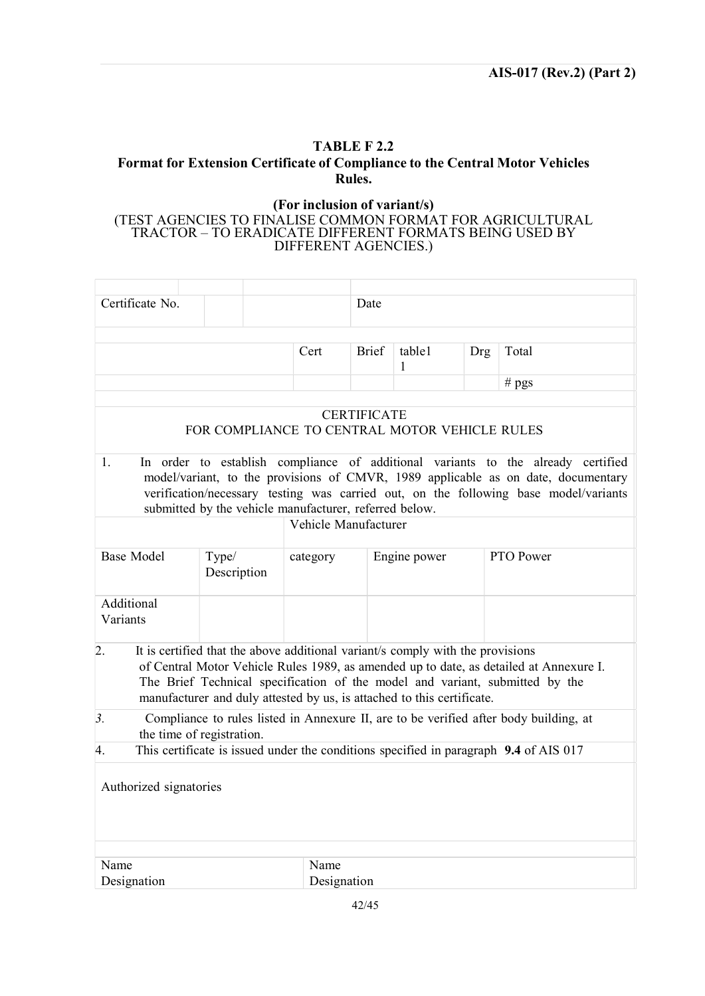# TABLE F 2.2 Format for Extension Certificate of Compliance to the Central Motor Vehicles Rules.

#### (For inclusion of variant/s) (TEST AGENCIES TO FINALISE COMMON FORMAT FOR AGRICULTURAL TRACTOR – TO ERADICATE DIFFERENT FORMATS BEING USED BY DIFFERENT AGENCIES.)

| Certificate No.                                                                                                                        |                                                                                                                                                          |             | Date               |              |            |                                                                                                                                                                                                                                                               |  |  |
|----------------------------------------------------------------------------------------------------------------------------------------|----------------------------------------------------------------------------------------------------------------------------------------------------------|-------------|--------------------|--------------|------------|---------------------------------------------------------------------------------------------------------------------------------------------------------------------------------------------------------------------------------------------------------------|--|--|
|                                                                                                                                        |                                                                                                                                                          | Cert        | <b>Brief</b>       | table1       | <b>Drg</b> | Total                                                                                                                                                                                                                                                         |  |  |
|                                                                                                                                        |                                                                                                                                                          |             |                    | $\mathbf{1}$ |            |                                                                                                                                                                                                                                                               |  |  |
|                                                                                                                                        |                                                                                                                                                          |             |                    |              |            | # $pgs$                                                                                                                                                                                                                                                       |  |  |
|                                                                                                                                        | FOR COMPLIANCE TO CENTRAL MOTOR VEHICLE RULES                                                                                                            |             | <b>CERTIFICATE</b> |              |            |                                                                                                                                                                                                                                                               |  |  |
| 1.                                                                                                                                     | submitted by the vehicle manufacturer, referred below.                                                                                                   |             |                    |              |            | In order to establish compliance of additional variants to the already certified<br>model/variant, to the provisions of CMVR, 1989 applicable as on date, documentary<br>verification/necessary testing was carried out, on the following base model/variants |  |  |
|                                                                                                                                        | Vehicle Manufacturer                                                                                                                                     |             |                    |              |            |                                                                                                                                                                                                                                                               |  |  |
| <b>Base Model</b>                                                                                                                      | Type/<br>category<br>Description                                                                                                                         |             |                    | Engine power | PTO Power  |                                                                                                                                                                                                                                                               |  |  |
| Additional<br>Variants                                                                                                                 |                                                                                                                                                          |             |                    |              |            |                                                                                                                                                                                                                                                               |  |  |
| $\overline{2}$ .                                                                                                                       | It is certified that the above additional variant/s comply with the provisions<br>manufacturer and duly attested by us, is attached to this certificate. |             |                    |              |            | of Central Motor Vehicle Rules 1989, as amended up to date, as detailed at Annexure I.<br>The Brief Technical specification of the model and variant, submitted by the                                                                                        |  |  |
| $\overline{3}$ .<br>Compliance to rules listed in Annexure II, are to be verified after body building, at<br>the time of registration. |                                                                                                                                                          |             |                    |              |            |                                                                                                                                                                                                                                                               |  |  |
| 4.                                                                                                                                     |                                                                                                                                                          |             |                    |              |            | This certificate is issued under the conditions specified in paragraph 9.4 of AIS 017                                                                                                                                                                         |  |  |
| Authorized signatories                                                                                                                 |                                                                                                                                                          |             |                    |              |            |                                                                                                                                                                                                                                                               |  |  |
| Name                                                                                                                                   |                                                                                                                                                          | Name        |                    |              |            |                                                                                                                                                                                                                                                               |  |  |
| Designation                                                                                                                            |                                                                                                                                                          | Designation |                    |              |            |                                                                                                                                                                                                                                                               |  |  |
|                                                                                                                                        |                                                                                                                                                          |             |                    |              |            |                                                                                                                                                                                                                                                               |  |  |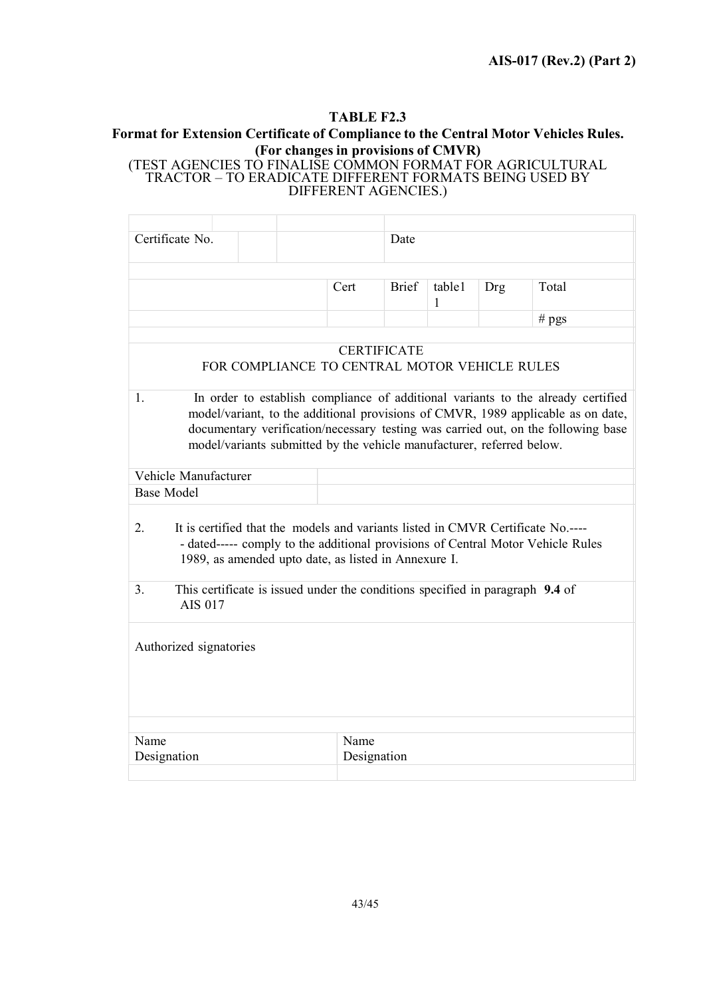#### TABLE F2.3

# Format for Extension Certificate of Compliance to the Central Motor Vehicles Rules. (For changes in provisions of CMVR)

#### (TEST AGENCIES TO FINALISE COMMON FORMAT FOR AGRICULTURAL TRACTOR – TO ERADICATE DIFFERENT FORMATS BEING USED BY DIFFERENT AGENCIES.)

| Certificate No.                                                                                |  |  | Date |                                                                                                                                              |              |     |                                                                                                                                                                                                                                                           |  |
|------------------------------------------------------------------------------------------------|--|--|------|----------------------------------------------------------------------------------------------------------------------------------------------|--------------|-----|-----------------------------------------------------------------------------------------------------------------------------------------------------------------------------------------------------------------------------------------------------------|--|
|                                                                                                |  |  | Cert | <b>Brief</b>                                                                                                                                 | table1       | Drg | Total                                                                                                                                                                                                                                                     |  |
|                                                                                                |  |  |      |                                                                                                                                              | $\mathbf{1}$ |     | # $pgs$                                                                                                                                                                                                                                                   |  |
| 1.                                                                                             |  |  |      | <b>CERTIFICATE</b><br>FOR COMPLIANCE TO CENTRAL MOTOR VEHICLE RULES<br>model/variants submitted by the vehicle manufacturer, referred below. |              |     | In order to establish compliance of additional variants to the already certified<br>model/variant, to the additional provisions of CMVR, 1989 applicable as on date,<br>documentary verification/necessary testing was carried out, on the following base |  |
| Vehicle Manufacturer                                                                           |  |  |      |                                                                                                                                              |              |     |                                                                                                                                                                                                                                                           |  |
| <b>Base Model</b>                                                                              |  |  |      |                                                                                                                                              |              |     |                                                                                                                                                                                                                                                           |  |
| 2.<br>1989, as amended upto date, as listed in Annexure I.                                     |  |  |      |                                                                                                                                              |              |     | It is certified that the models and variants listed in CMVR Certificate No.----<br>- dated----- comply to the additional provisions of Central Motor Vehicle Rules                                                                                        |  |
| 3.<br>This certificate is issued under the conditions specified in paragraph 9.4 of<br>AIS 017 |  |  |      |                                                                                                                                              |              |     |                                                                                                                                                                                                                                                           |  |
| Authorized signatories                                                                         |  |  |      |                                                                                                                                              |              |     |                                                                                                                                                                                                                                                           |  |
| Name                                                                                           |  |  | Name |                                                                                                                                              |              |     |                                                                                                                                                                                                                                                           |  |
| Designation                                                                                    |  |  |      | Designation                                                                                                                                  |              |     |                                                                                                                                                                                                                                                           |  |
|                                                                                                |  |  |      |                                                                                                                                              |              |     |                                                                                                                                                                                                                                                           |  |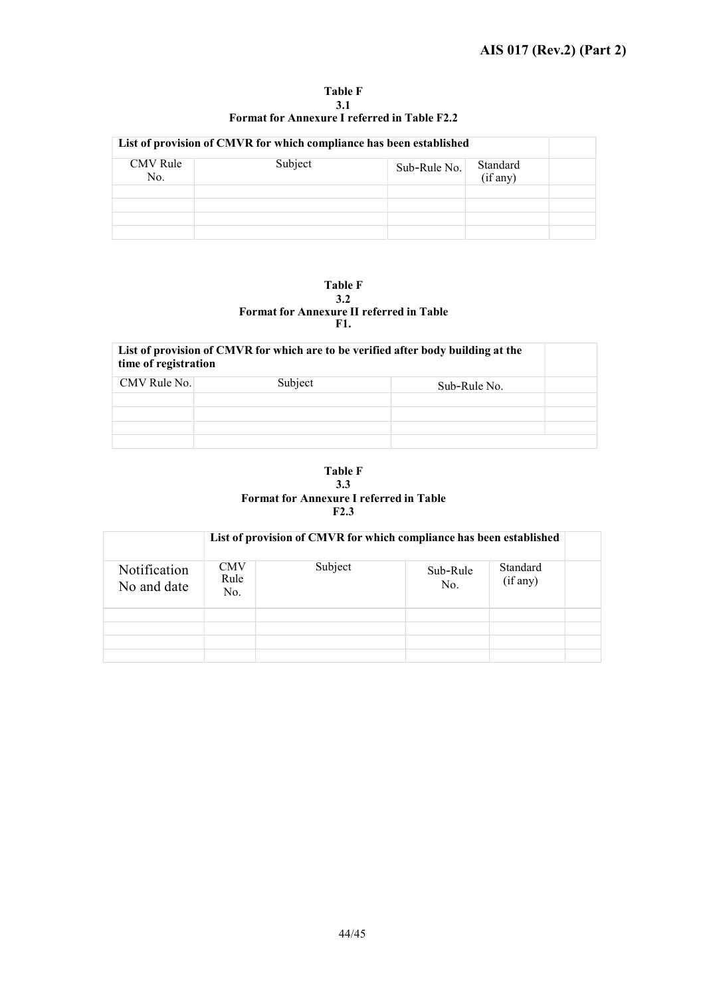| <b>Table F</b>                               |  |
|----------------------------------------------|--|
|                                              |  |
| Format for Annexure I referred in Table F2.2 |  |

| List of provision of CMVR for which compliance has been established |         |              |                      |  |  |  |
|---------------------------------------------------------------------|---------|--------------|----------------------|--|--|--|
| <b>CMV</b> Rule<br>No.                                              | Subject | Sub-Rule No. | Standard<br>(if any) |  |  |  |
|                                                                     |         |              |                      |  |  |  |
|                                                                     |         |              |                      |  |  |  |
|                                                                     |         |              |                      |  |  |  |

#### Table F 3.2 Format for Annexure II referred in Table F1.

| List of provision of CMVR for which are to be verified after body building at the<br>time of registration |         |              |  |  |  |  |
|-----------------------------------------------------------------------------------------------------------|---------|--------------|--|--|--|--|
| CMV Rule No.                                                                                              | Subject | Sub-Rule No. |  |  |  |  |
|                                                                                                           |         |              |  |  |  |  |
|                                                                                                           |         |              |  |  |  |  |

#### Table  $\overline{F}$  3.3 3.3 Format for Annexure I referred in Table

#### F2.3

|                                    |                           | List of provision of CMVR for which compliance has been established |                 |                      |  |
|------------------------------------|---------------------------|---------------------------------------------------------------------|-----------------|----------------------|--|
| <b>Notification</b><br>No and date | <b>CMV</b><br>Rule<br>No. | Subject                                                             | Sub-Rule<br>No. | Standard<br>(if any) |  |
|                                    |                           |                                                                     |                 |                      |  |
|                                    |                           |                                                                     |                 |                      |  |
|                                    |                           |                                                                     |                 |                      |  |
|                                    |                           |                                                                     |                 |                      |  |